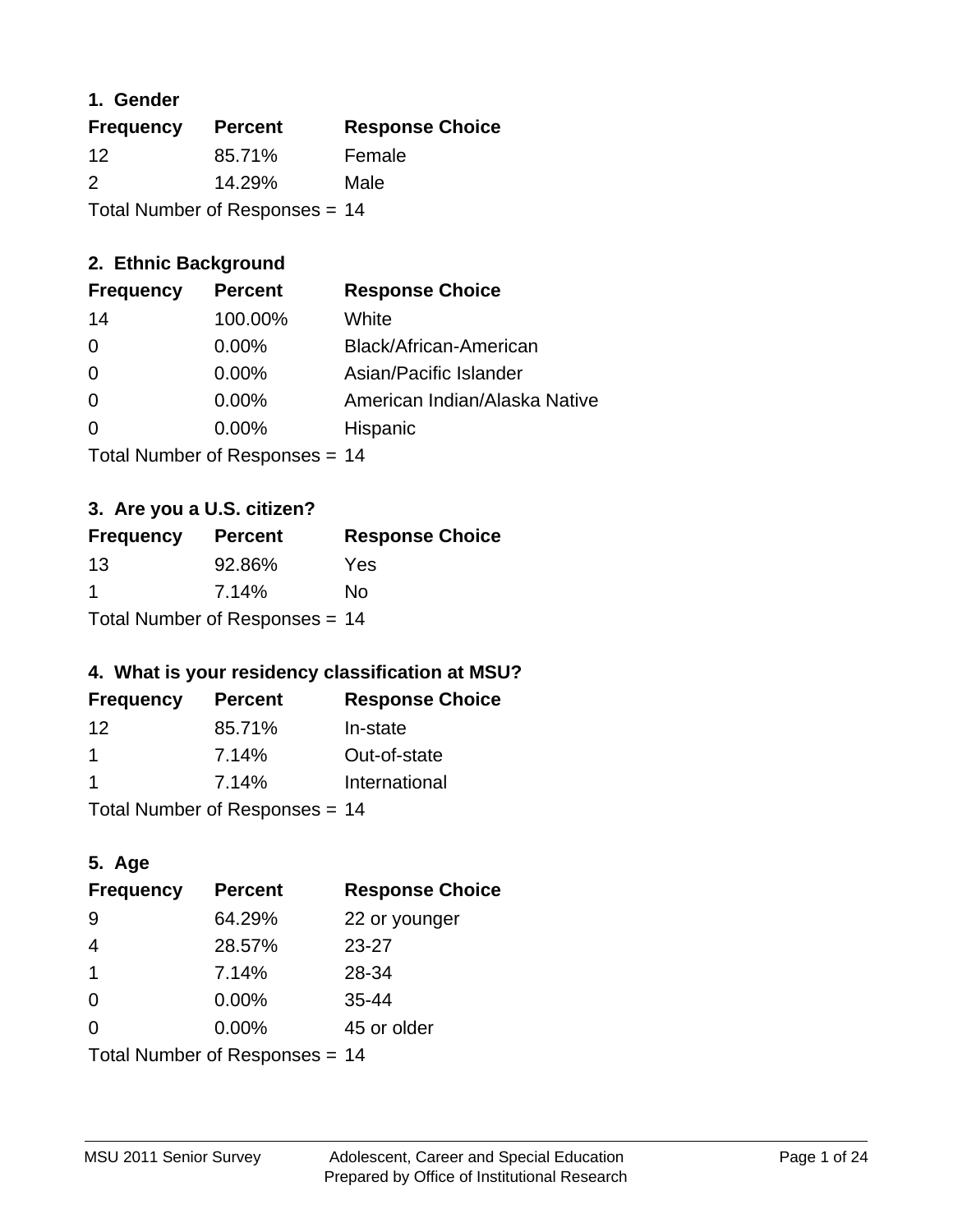### **1. Gender**

| <b>Frequency</b>               | <b>Percent</b> | <b>Response Choice</b> |
|--------------------------------|----------------|------------------------|
| 12                             | 85.71%         | Female                 |
| $\mathcal{P}$                  | 14.29%         | Male                   |
| Total Number of Responses = 14 |                |                        |

## **2. Ethnic Background**

| <b>Frequency</b> | <b>Percent</b> | <b>Response Choice</b>        |
|------------------|----------------|-------------------------------|
| 14               | 100.00%        | White                         |
| $\Omega$         | $0.00\%$       | Black/African-American        |
| 0                | $0.00\%$       | Asian/Pacific Islander        |
| 0                | 0.00%          | American Indian/Alaska Native |
| $\Omega$         | 0.00%          | Hispanic                      |
|                  |                |                               |

Total Number of Responses = 14

## **3. Are you a U.S. citizen?**

| <b>Frequency</b>                 | <b>Percent</b> | <b>Response Choice</b> |
|----------------------------------|----------------|------------------------|
| 13                               | 92.86%         | Yes                    |
| -1                               | 7.14%          | No                     |
| Total Number of Responses = $14$ |                |                        |

## **4. What is your residency classification at MSU?**

| <b>Frequency</b> | <b>Percent</b> | <b>Response Choice</b> |
|------------------|----------------|------------------------|
| 12               | 85.71%         | In-state               |
|                  | 7.14%          | Out-of-state           |
| -1               | 7.14%          | International          |
|                  |                |                        |

Total Number of Responses = 14

## **5. Age**

| <b>Frequency</b>               | <b>Percent</b> | <b>Response Choice</b> |
|--------------------------------|----------------|------------------------|
| -9                             | 64.29%         | 22 or younger          |
| 4                              | 28.57%         | $23 - 27$              |
| $\mathbf 1$                    | 7.14%          | 28-34                  |
| $\Omega$                       | $0.00\%$       | $35 - 44$              |
| $\Omega$                       | 0.00%          | 45 or older            |
| Total Number of Responses = 14 |                |                        |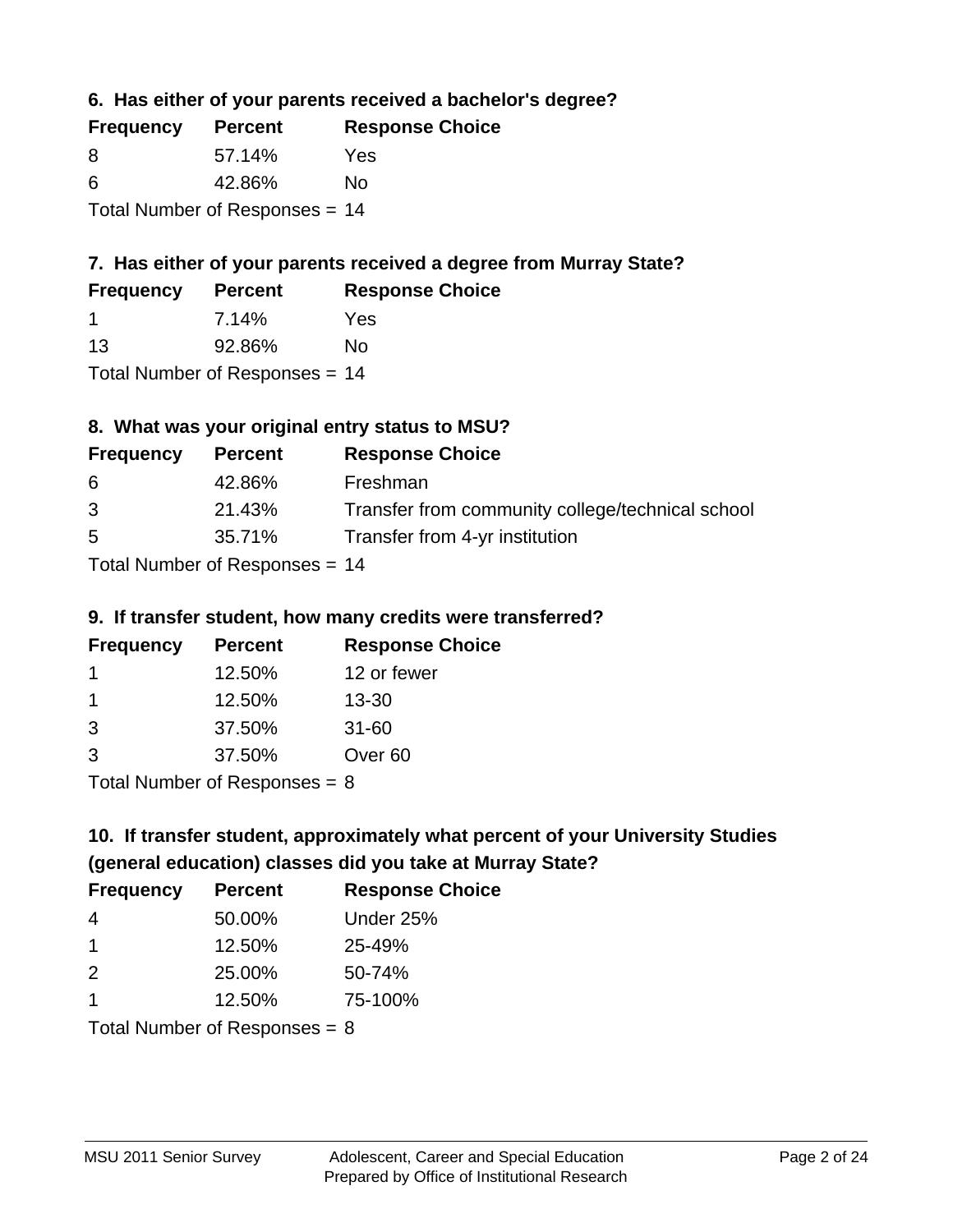**6. Has either of your parents received a bachelor's degree?**

| <b>Frequency</b>                 | <b>Percent</b> | <b>Response Choice</b> |
|----------------------------------|----------------|------------------------|
| 8                                | 57.14%         | Yes                    |
| 6                                | 42.86%         | Nο                     |
| Total Number of Responses $= 14$ |                |                        |

## **7. Has either of your parents received a degree from Murray State?**

| <b>Frequency</b> | <b>Percent</b> | <b>Response Choice</b> |
|------------------|----------------|------------------------|
|                  | 7.14%          | Yes                    |
| 13               | 92.86%         | No                     |

Total Number of Responses = 14

# **8. What was your original entry status to MSU?**

| <b>Frequency</b> | <b>Percent</b>                                   | <b>Response Choice</b>                           |
|------------------|--------------------------------------------------|--------------------------------------------------|
| 6                | 42.86%                                           | Freshman                                         |
| 3                | 21.43%                                           | Transfer from community college/technical school |
| 5                | 35.71%                                           | Transfer from 4-yr institution                   |
|                  | $T_{\text{right}}$ Neurolean of Decorrection $A$ |                                                  |

Total Number of Responses = 14

### **9. If transfer student, how many credits were transferred?**

| <b>Frequency</b>          | <b>Percent</b> | <b>Response Choice</b> |
|---------------------------|----------------|------------------------|
|                           | 12.50%         | 12 or fewer            |
|                           | 12.50%         | $13 - 30$              |
| -3                        | 37.50%         | $31 - 60$              |
| 3                         | 37.50%         | Over <sub>60</sub>     |
| Total Number of Deepersoo |                |                        |

I otal Number of Responses  $= 8$ 

# **10. If transfer student, approximately what percent of your University Studies (general education) classes did you take at Murray State?**

| <b>Frequency</b>              | <b>Percent</b> | <b>Response Choice</b> |
|-------------------------------|----------------|------------------------|
| -4                            | 50.00%         | Under 25%              |
| -1                            | 12.50%         | 25-49%                 |
| $\mathcal{P}$                 | 25.00%         | 50-74%                 |
| -1                            | 12.50%         | 75-100%                |
| $Total Number of Denance = Q$ |                |                        |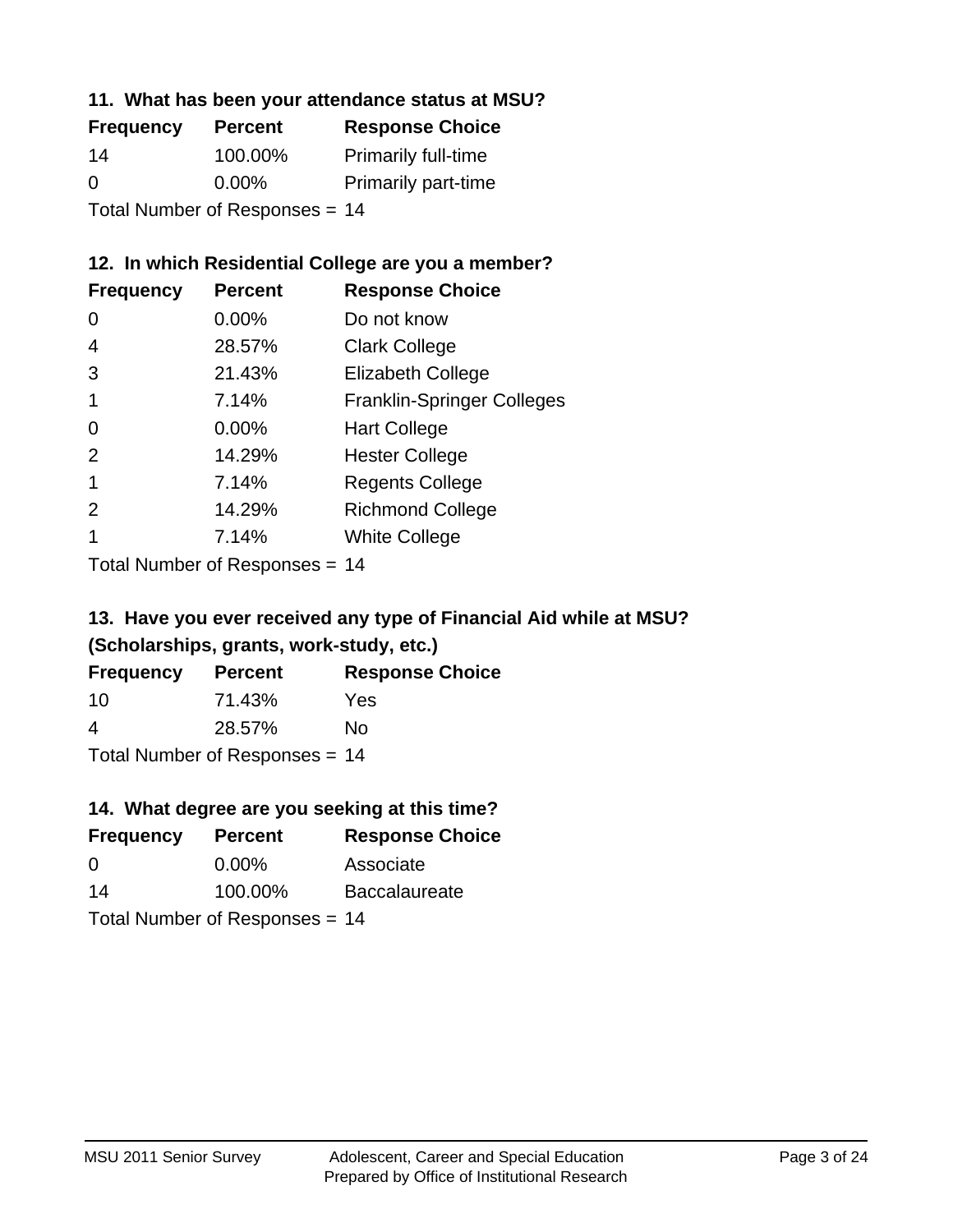### **11. What has been your attendance status at MSU?**

| <b>Frequency</b>               | <b>Percent</b> | <b>Response Choice</b>     |
|--------------------------------|----------------|----------------------------|
| 14                             | 100.00%        | <b>Primarily full-time</b> |
| $\Omega$                       | $0.00\%$       | <b>Primarily part-time</b> |
| Total Number of Responses = 14 |                |                            |

### **12. In which Residential College are you a member?**

| <b>Frequency</b> | <b>Percent</b> | <b>Response Choice</b>            |
|------------------|----------------|-----------------------------------|
| 0                | $0.00\%$       | Do not know                       |
| 4                | 28.57%         | <b>Clark College</b>              |
| 3                | 21.43%         | <b>Elizabeth College</b>          |
|                  | 7.14%          | <b>Franklin-Springer Colleges</b> |
| 0                | 0.00%          | <b>Hart College</b>               |
| 2                | 14.29%         | <b>Hester College</b>             |
|                  | 7.14%          | <b>Regents College</b>            |
| $\mathcal{P}$    | 14.29%         | <b>Richmond College</b>           |
|                  | 7.14%          | <b>White College</b>              |
|                  |                |                                   |

Total Number of Responses = 14

## **13. Have you ever received any type of Financial Aid while at MSU? (Scholarships, grants, work-study, etc.)**

| <b>Frequency</b> | <b>Percent</b>             | <b>Response Choice</b> |
|------------------|----------------------------|------------------------|
| 10               | 71.43%                     | Yes                    |
| 4                | 28.57%                     | No.                    |
|                  | Tatal Number of Desperance |                        |

Total Number of Responses = 14

## **14. What degree are you seeking at this time?**

| <b>Frequency</b> | <b>Percent</b>                 | <b>Response Choice</b> |
|------------------|--------------------------------|------------------------|
| $\Omega$         | $0.00\%$                       | Associate              |
| 14               | 100.00%                        | <b>Baccalaureate</b>   |
|                  | Total Number of Responses = 14 |                        |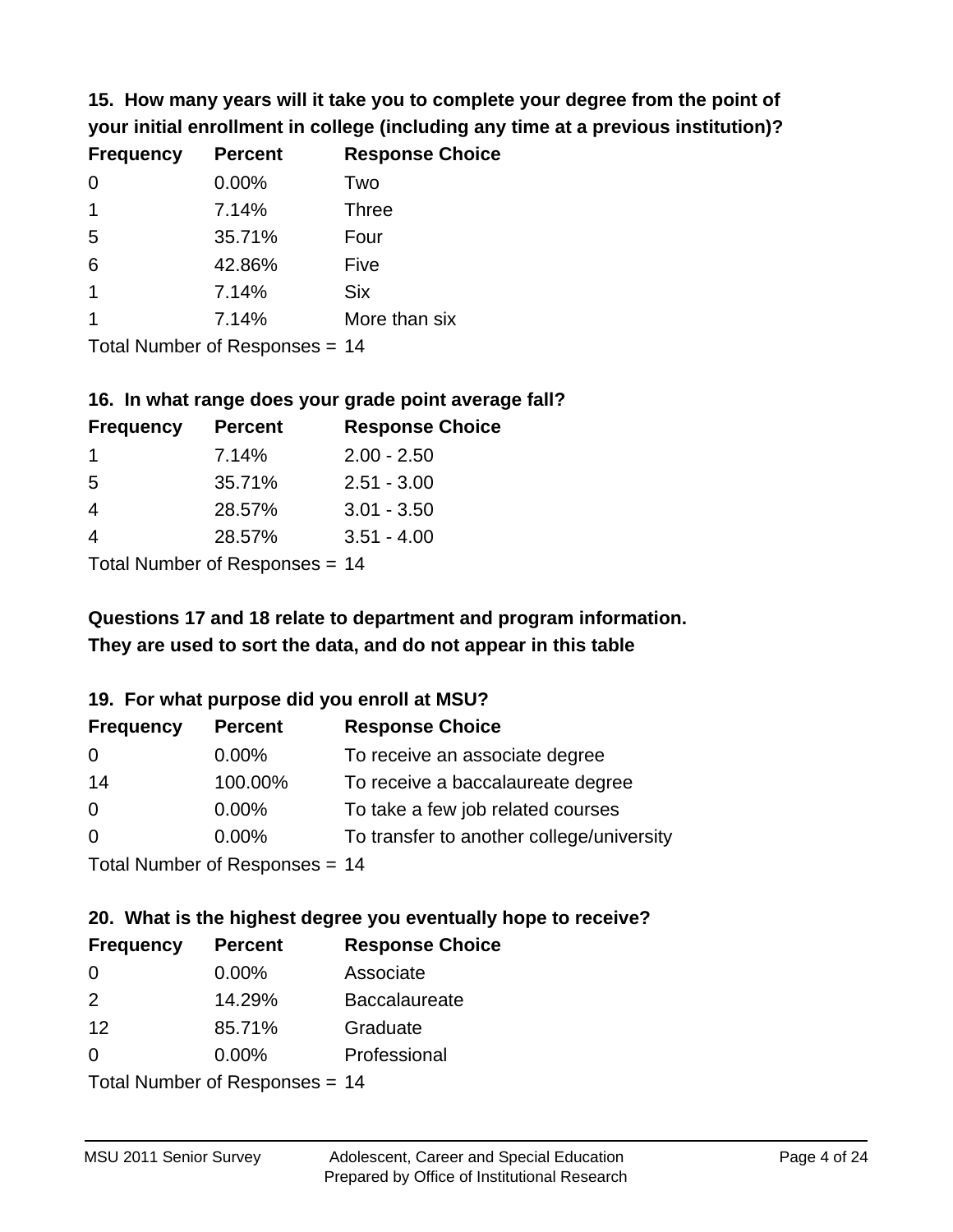**15. How many years will it take you to complete your degree from the point of your initial enrollment in college (including any time at a previous institution)?**

| <b>Frequency</b> | <b>Percent</b> | <b>Response Choice</b> |
|------------------|----------------|------------------------|
| $\Omega$         | 0.00%          | Two                    |
| $\mathbf 1$      | 7.14%          | <b>Three</b>           |
| 5                | 35.71%         | Four                   |
| 6                | 42.86%         | Five                   |
| $\overline{1}$   | 7.14%          | <b>Six</b>             |
|                  | 7.14%          | More than six          |
|                  |                |                        |

Total Number of Responses = 14

#### **16. In what range does your grade point average fall?**

| <b>Frequency</b> | <b>Percent</b> | <b>Response Choice</b> |
|------------------|----------------|------------------------|
|                  | 7.14%          | $2.00 - 2.50$          |
| -5               | 35.71%         | $2.51 - 3.00$          |
| 4                | 28.57%         | $3.01 - 3.50$          |
|                  | 28.57%         | $3.51 - 4.00$          |
|                  |                |                        |

Total Number of Responses = 14

## **They are used to sort the data, and do not appear in this table Questions 17 and 18 relate to department and program information.**

### **19. For what purpose did you enroll at MSU?**

| <b>Frequency</b> | <b>Percent</b>                  | <b>Response Choice</b>                    |
|------------------|---------------------------------|-------------------------------------------|
| 0                | $0.00\%$                        | To receive an associate degree            |
| 14               | 100.00%                         | To receive a baccalaureate degree         |
| $\overline{0}$   | $0.00\%$                        | To take a few job related courses         |
| $\Omega$         | 0.00%                           | To transfer to another college/university |
|                  | Total Number of Responses $-14$ |                                           |

Total Number of Responses  $= 14$ 

# **20. What is the highest degree you eventually hope to receive?**

| <b>Frequency</b> | <b>Percent</b>                 | <b>Response Choice</b> |
|------------------|--------------------------------|------------------------|
| 0                | 0.00%                          | Associate              |
| 2                | 14.29%                         | <b>Baccalaureate</b>   |
| 12               | 85.71%                         | Graduate               |
| 0                | $0.00\%$                       | Professional           |
|                  | $Total Number of Denonce - 11$ |                        |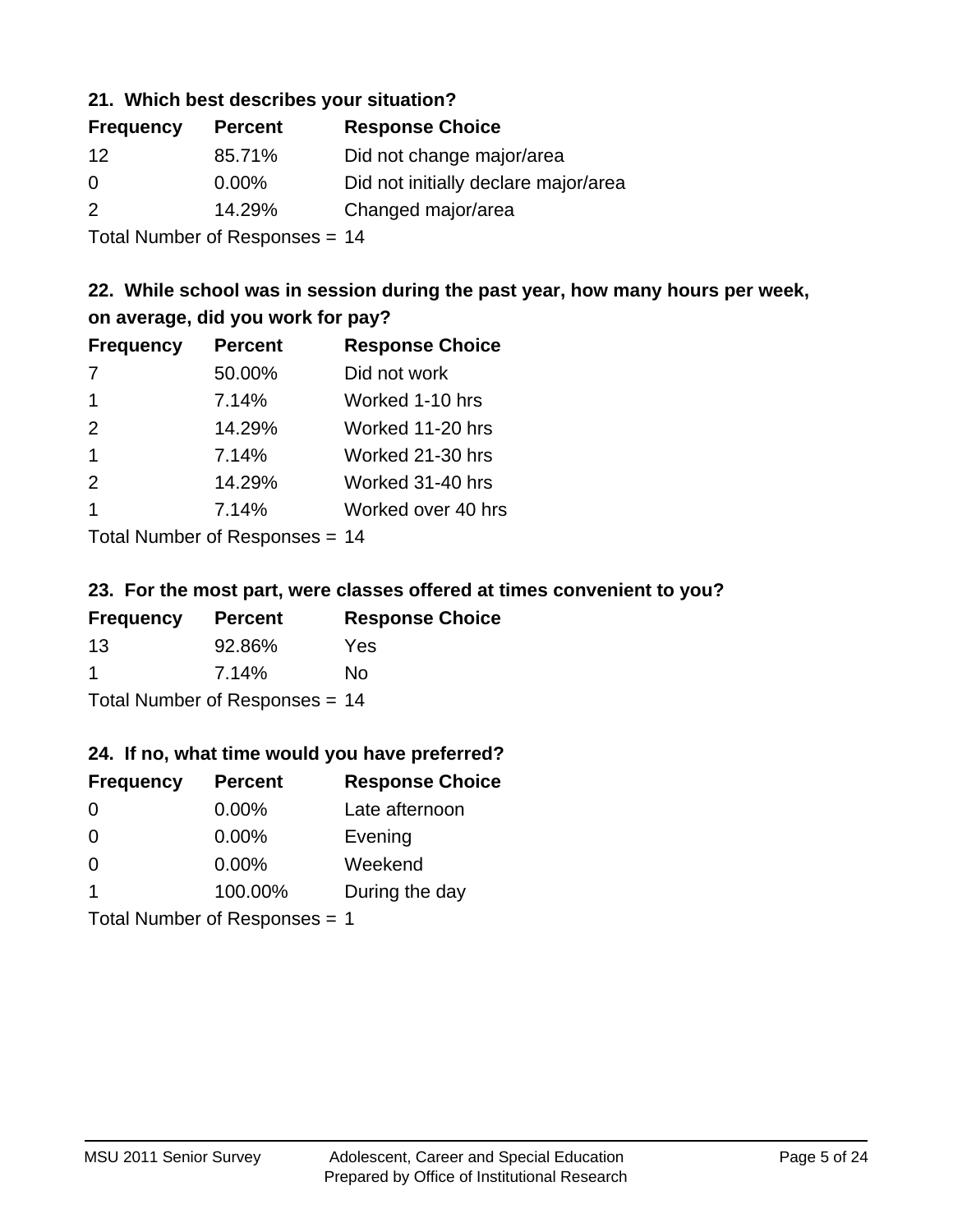### **21. Which best describes your situation?**

| <b>Frequency</b> | <b>Percent</b> | <b>Response Choice</b>               |
|------------------|----------------|--------------------------------------|
| 12               | 85.71%         | Did not change major/area            |
| $\Omega$         | $0.00\%$       | Did not initially declare major/area |
| $\mathcal{P}$    | 14.29%         | Changed major/area                   |
|                  |                |                                      |

Total Number of Responses = 14

## **22. While school was in session during the past year, how many hours per week, on average, did you work for pay?**

| <b>Frequency</b> | <b>Percent</b> | <b>Response Choice</b> |
|------------------|----------------|------------------------|
| 7                | 50.00%         | Did not work           |
| $\mathbf 1$      | 7.14%          | Worked 1-10 hrs        |
| 2                | 14.29%         | Worked 11-20 hrs       |
| $\overline{1}$   | 7.14%          | Worked 21-30 hrs       |
| 2                | 14.29%         | Worked 31-40 hrs       |
| -1               | 7.14%          | Worked over 40 hrs     |
|                  |                |                        |

Total Number of Responses = 14

### **23. For the most part, were classes offered at times convenient to you?**

| <b>Frequency</b>               | <b>Percent</b> | <b>Response Choice</b> |
|--------------------------------|----------------|------------------------|
| -13                            | 92.86%         | Yes                    |
| -1                             | 7.14%          | No.                    |
| Total Number of Responses = 14 |                |                        |

### **24. If no, what time would you have preferred?**

| <b>Frequency</b> | <b>Percent</b>                | <b>Response Choice</b> |
|------------------|-------------------------------|------------------------|
| $\Omega$         | $0.00\%$                      | Late afternoon         |
| $\Omega$         | $0.00\%$                      | Evening                |
| $\Omega$         | $0.00\%$                      | Weekend                |
| $\mathbf 1$      | 100.00%                       | During the day         |
|                  | Total Number of Responses = 1 |                        |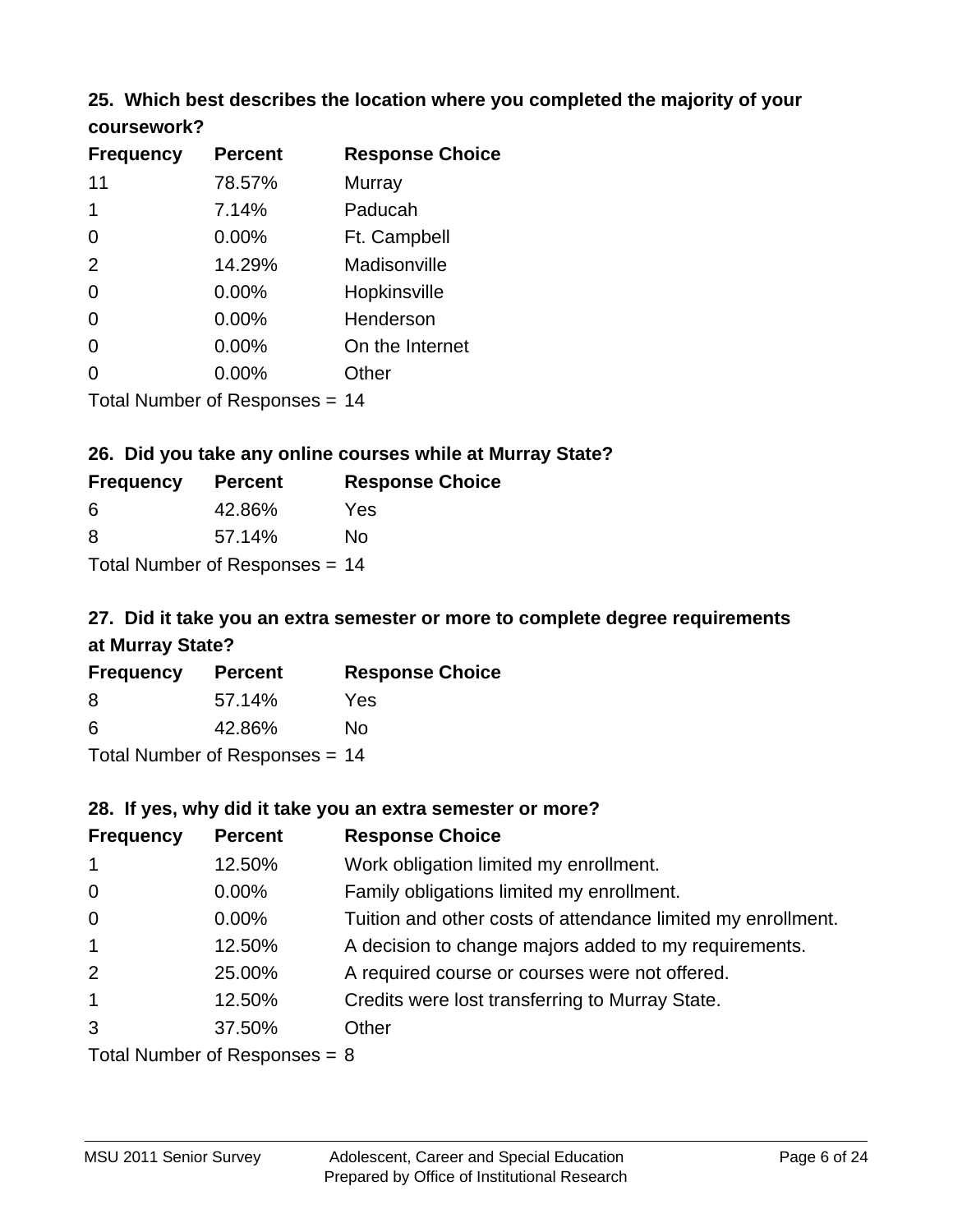### **25. Which best describes the location where you completed the majority of your coursework?**

| <b>Frequency</b> | <b>Percent</b>                 | <b>Response Choice</b> |
|------------------|--------------------------------|------------------------|
| 11               | 78.57%                         | Murray                 |
| 1                | 7.14%                          | Paducah                |
| 0                | 0.00%                          | Ft. Campbell           |
| 2                | 14.29%                         | Madisonville           |
| 0                | 0.00%                          | Hopkinsville           |
| 0                | 0.00%                          | Henderson              |
| 0                | 0.00%                          | On the Internet        |
| 0                | $0.00\%$                       | Other                  |
|                  | Total Number of Responses = 14 |                        |

### **26. Did you take any online courses while at Murray State?**

| <b>Frequency</b> | <b>Percent</b>                 | <b>Response Choice</b> |
|------------------|--------------------------------|------------------------|
| -6               | 42.86%                         | Yes                    |
| -8               | 57.14%                         | Nο                     |
|                  | Total Number of Responses = 14 |                        |

## **27. Did it take you an extra semester or more to complete degree requirements at Murray State?**

| <b>Frequency</b> | <b>Percent</b>                 | <b>Response Choice</b> |
|------------------|--------------------------------|------------------------|
| 8                | 57.14%                         | Yes                    |
| 6                | 42.86%                         | No                     |
|                  | Total Number of Responses = 14 |                        |

### **28. If yes, why did it take you an extra semester or more?**

| <b>Frequency</b>                | <b>Percent</b> | <b>Response Choice</b>                                       |
|---------------------------------|----------------|--------------------------------------------------------------|
| $\overline{1}$                  | 12.50%         | Work obligation limited my enrollment.                       |
| $\overline{0}$                  | $0.00\%$       | Family obligations limited my enrollment.                    |
| $\overline{0}$                  | $0.00\%$       | Tuition and other costs of attendance limited my enrollment. |
| $\overline{1}$                  | 12.50%         | A decision to change majors added to my requirements.        |
| 2                               | 25.00%         | A required course or courses were not offered.               |
| $\mathbf{1}$                    | 12.50%         | Credits were lost transferring to Murray State.              |
| 3                               | 37.50%         | Other                                                        |
| Total Number of Reconnege $-$ 8 |                |                                                              |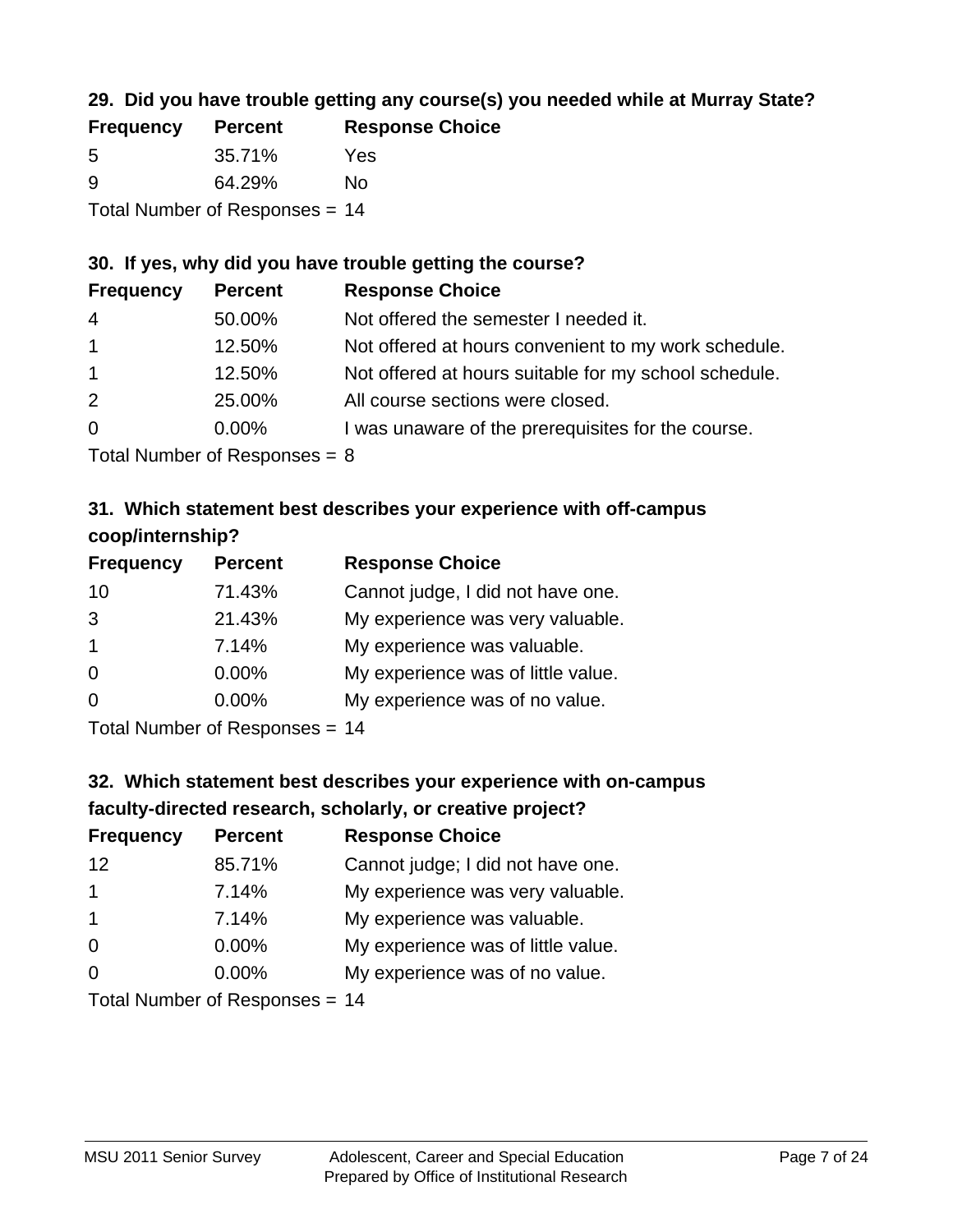## **29. Did you have trouble getting any course(s) you needed while at Murray State?**

| <b>Frequency</b>               | <b>Percent</b> | <b>Response Choice</b> |
|--------------------------------|----------------|------------------------|
| -5                             | 35.71%         | Yes                    |
| -9                             | 64.29%         | Nο                     |
| Total Number of Responses = 14 |                |                        |

### **30. If yes, why did you have trouble getting the course?**

| <b>Frequency</b> | <b>Percent</b> | <b>Response Choice</b>                                |
|------------------|----------------|-------------------------------------------------------|
| $\overline{4}$   | 50.00%         | Not offered the semester I needed it.                 |
| $\mathbf{1}$     | 12.50%         | Not offered at hours convenient to my work schedule.  |
| $\overline{1}$   | 12.50%         | Not offered at hours suitable for my school schedule. |
| 2                | 25.00%         | All course sections were closed.                      |
| $\overline{0}$   | $0.00\%$       | I was unaware of the prerequisites for the course.    |
|                  |                |                                                       |

Total Number of Responses  $= 8$ 

## **31. Which statement best describes your experience with off-campus coop/internship?**

| <b>Frequency</b> | <b>Percent</b>                                                                                                | <b>Response Choice</b>             |
|------------------|---------------------------------------------------------------------------------------------------------------|------------------------------------|
| 10               | 71.43%                                                                                                        | Cannot judge, I did not have one.  |
| 3                | 21.43%                                                                                                        | My experience was very valuable.   |
| $\overline{1}$   | 7.14%                                                                                                         | My experience was valuable.        |
| $\Omega$         | 0.00%                                                                                                         | My experience was of little value. |
| $\Omega$         | $0.00\%$                                                                                                      | My experience was of no value.     |
|                  | $\tau$ and $\mathbf{M}$ and $\mathbf{M}$ are all $\mathbf{M}$ . The contract of $\mathbf{M}$ and $\mathbf{M}$ |                                    |

Total Number of Responses = 14

# **32. Which statement best describes your experience with on-campus faculty-directed research, scholarly, or creative project?**

| <b>Frequency</b>     | <b>Percent</b>             | <b>Response Choice</b>             |
|----------------------|----------------------------|------------------------------------|
| $12 \overline{ }$    | 85.71%                     | Cannot judge; I did not have one.  |
| $\blacktriangleleft$ | 7.14%                      | My experience was very valuable.   |
| $\mathbf 1$          | 7.14%                      | My experience was valuable.        |
| $\Omega$             | 0.00%                      | My experience was of little value. |
| $\Omega$             | 0.00%                      | My experience was of no value.     |
|                      | Tatal Number of Desperance |                                    |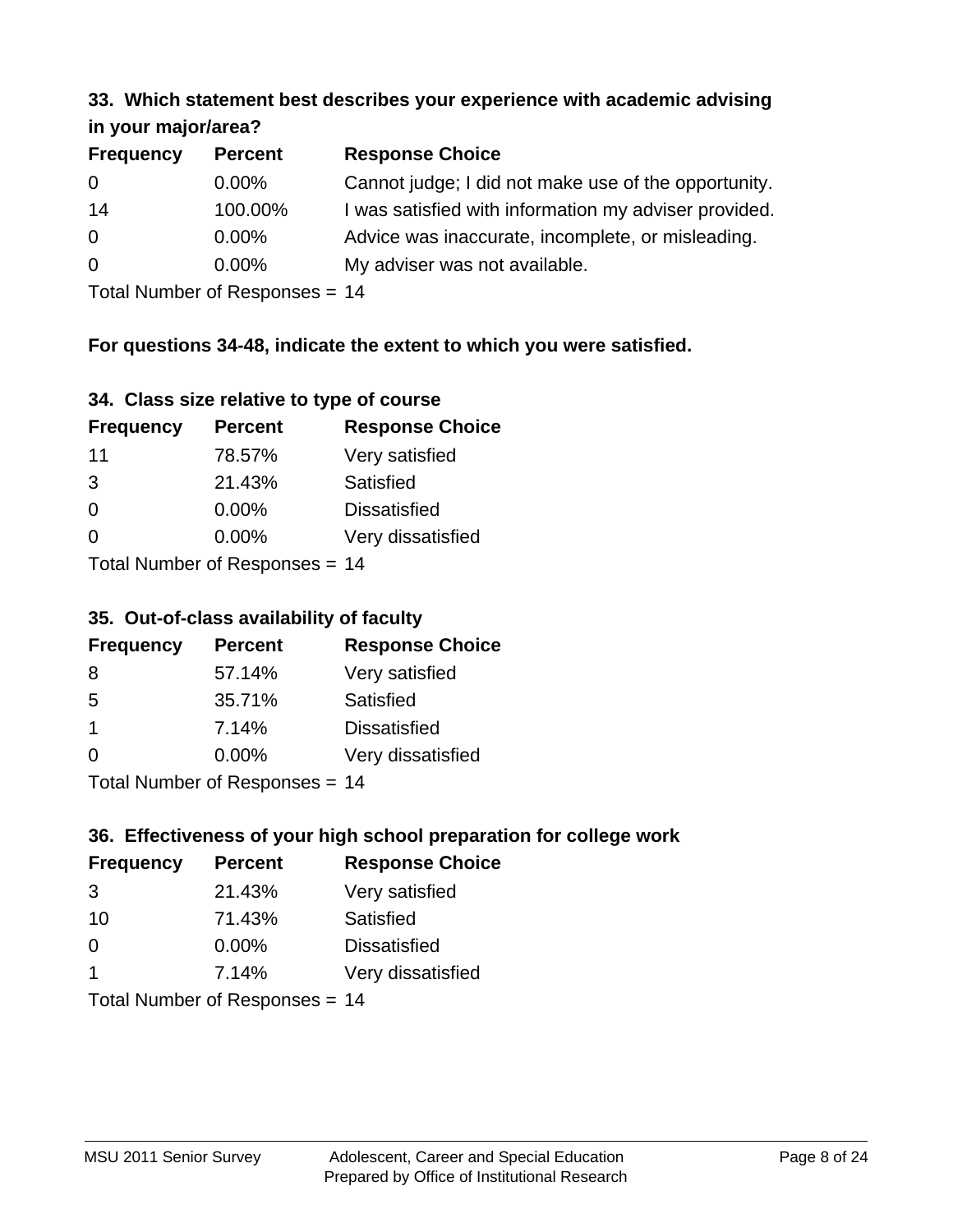#### **33. Which statement best describes your experience with academic advising in your major/area?**

| 11.70011110001701001 |                |                                                       |
|----------------------|----------------|-------------------------------------------------------|
| <b>Frequency</b>     | <b>Percent</b> | <b>Response Choice</b>                                |
| 0                    | $0.00\%$       | Cannot judge; I did not make use of the opportunity.  |
| 14                   | 100.00%        | I was satisfied with information my adviser provided. |
| $\overline{0}$       | 0.00%          | Advice was inaccurate, incomplete, or misleading.     |
| $\overline{0}$       | 0.00%          | My adviser was not available.                         |
|                      |                |                                                       |

Total Number of Responses = 14

## **For questions 34-48, indicate the extent to which you were satisfied.**

| 34. Class size relative to type of course |
|-------------------------------------------|
|-------------------------------------------|

| <b>Frequency</b>                | <b>Percent</b> | <b>Response Choice</b> |  |
|---------------------------------|----------------|------------------------|--|
| 11                              | 78.57%         | Very satisfied         |  |
| 3                               | 21.43%         | Satisfied              |  |
| $\Omega$                        | 0.00%          | <b>Dissatisfied</b>    |  |
| $\Omega$                        | 0.00%          | Very dissatisfied      |  |
| Total Number of Responses $-11$ |                |                        |  |

Total Number of Responses = 14

### **35. Out-of-class availability of faculty**

| <b>Frequency</b> | <b>Percent</b>            | <b>Response Choice</b> |
|------------------|---------------------------|------------------------|
| 8                | 57.14%                    | Very satisfied         |
| 5                | 35.71%                    | Satisfied              |
| $\mathbf 1$      | 7.14%                     | <b>Dissatisfied</b>    |
| $\Omega$         | 0.00%                     | Very dissatisfied      |
|                  | Total Number of Deepensee |                        |

Total Number of Responses = 14

## **36. Effectiveness of your high school preparation for college work**

| <b>Frequency</b>               | <b>Percent</b> | <b>Response Choice</b> |
|--------------------------------|----------------|------------------------|
| 3                              | 21.43%         | Very satisfied         |
| 10                             | 71.43%         | Satisfied              |
| $\Omega$                       | $0.00\%$       | <b>Dissatisfied</b>    |
| -1                             | 7.14%          | Very dissatisfied      |
| $Total Number of Denonce - 11$ |                |                        |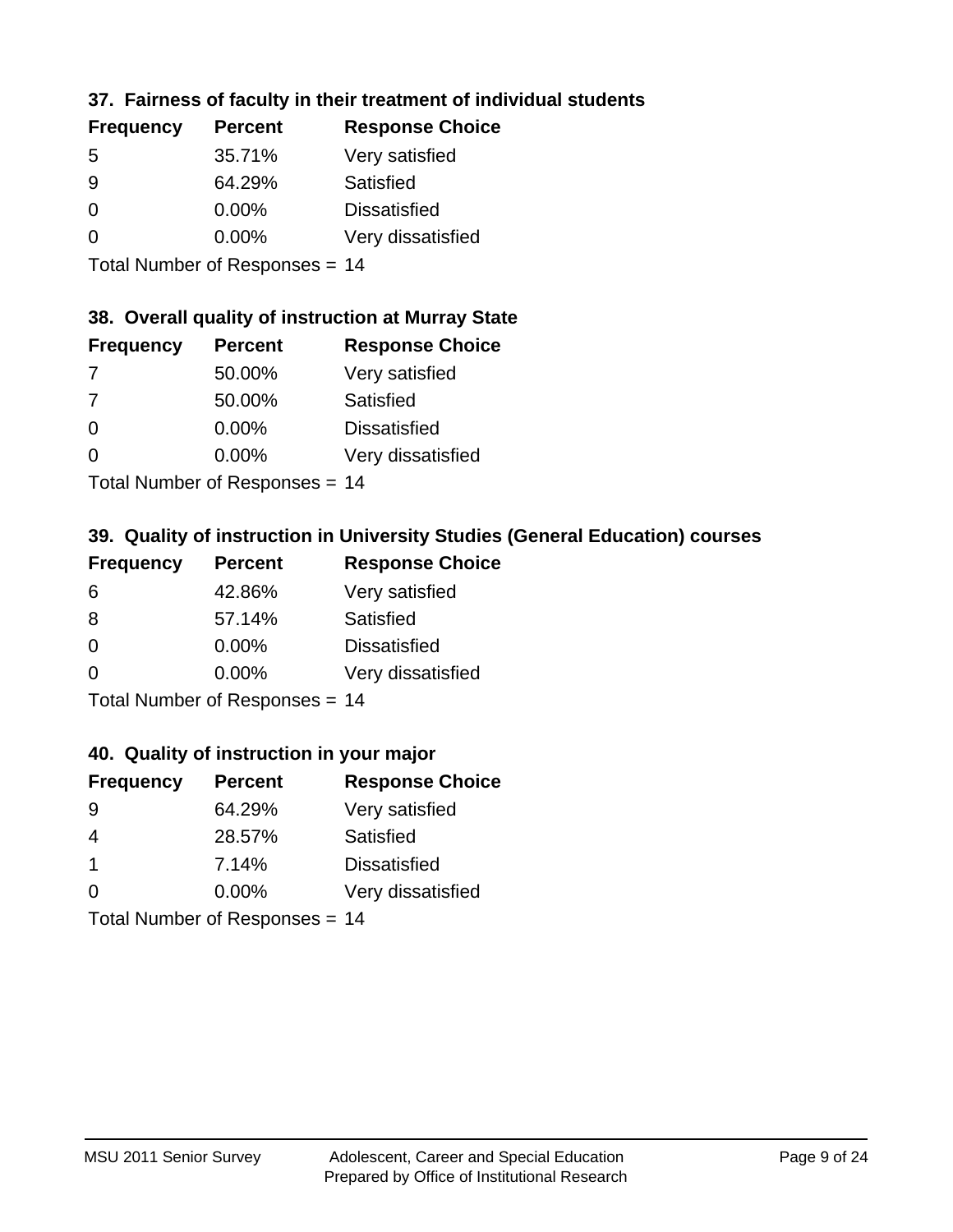## **37. Fairness of faculty in their treatment of individual students**

| <b>Frequency</b> | <b>Percent</b> | <b>Response Choice</b> |
|------------------|----------------|------------------------|
| .5               | 35.71%         | Very satisfied         |
| 9                | 64.29%         | Satisfied              |
| $\Omega$         | $0.00\%$       | <b>Dissatisfied</b>    |
| $\Omega$         | 0.00%          | Very dissatisfied      |
|                  |                |                        |

Total Number of Responses = 14

## **38. Overall quality of instruction at Murray State**

| <b>Frequency</b> | <b>Percent</b> | <b>Response Choice</b> |
|------------------|----------------|------------------------|
| 7                | 50.00%         | Very satisfied         |
| 7                | 50.00%         | Satisfied              |
| $\Omega$         | 0.00%          | <b>Dissatisfied</b>    |
| ∩                | 0.00%          | Very dissatisfied      |
|                  |                |                        |

Total Number of Responses = 14

## **39. Quality of instruction in University Studies (General Education) courses**

| <b>Frequency</b> | <b>Percent</b>            | <b>Response Choice</b> |
|------------------|---------------------------|------------------------|
| 6                | 42.86%                    | Very satisfied         |
| 8                | 57.14%                    | Satisfied              |
| $\Omega$         | 0.00%                     | <b>Dissatisfied</b>    |
| $\Omega$         | 0.00%                     | Very dissatisfied      |
|                  | Total Number of Deepersee |                        |

Total Number of Responses = 14

#### **40. Quality of instruction in your major**

| <b>Frequency</b> | <b>Percent</b> | <b>Response Choice</b> |
|------------------|----------------|------------------------|
| 9                | 64.29%         | Very satisfied         |
| 4                | 28.57%         | Satisfied              |
| -1               | 7.14%          | <b>Dissatisfied</b>    |
| $\Omega$         | 0.00%          | Very dissatisfied      |
|                  |                |                        |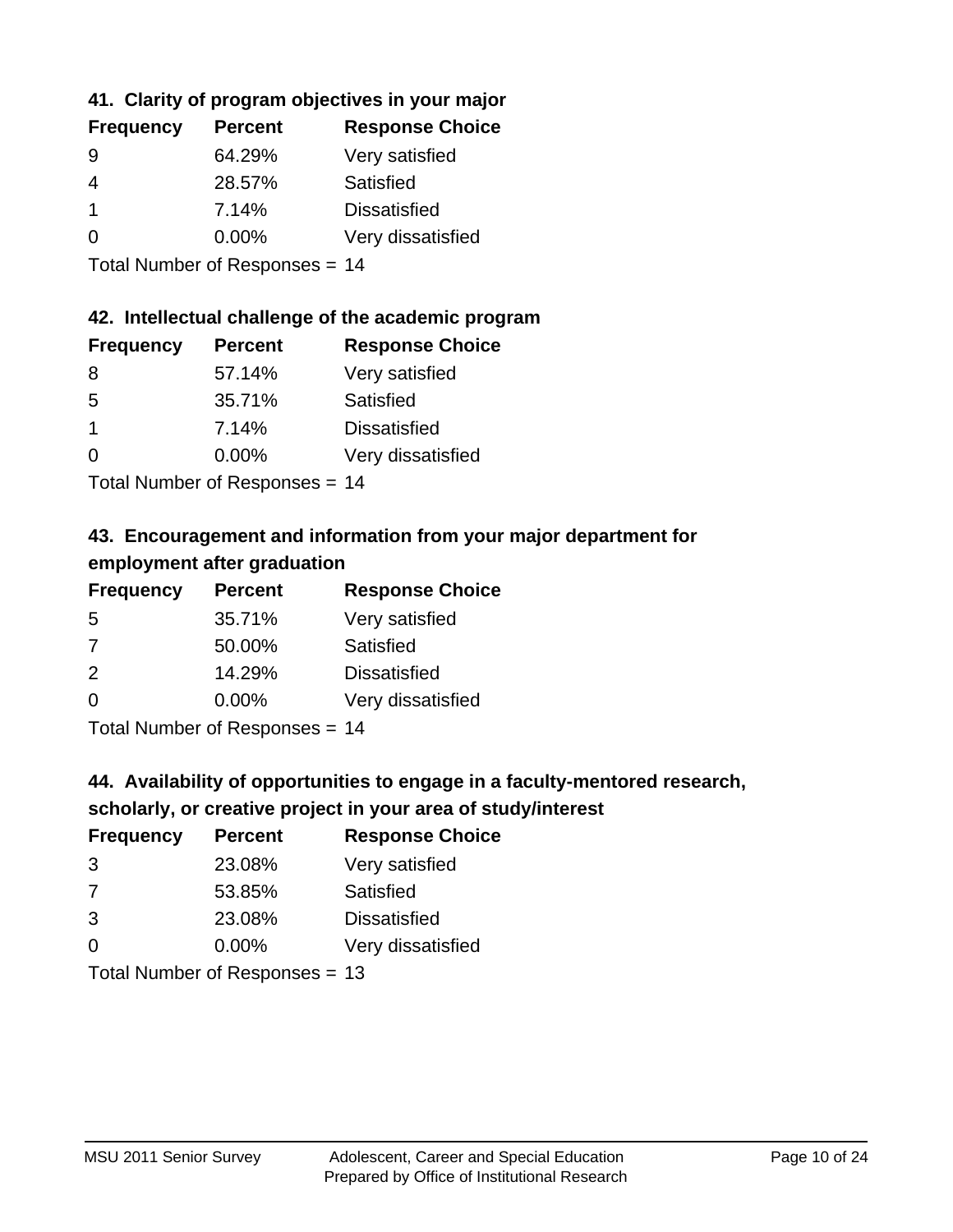## **41. Clarity of program objectives in your major**

| <b>Frequency</b> | <b>Percent</b> | <b>Response Choice</b> |
|------------------|----------------|------------------------|
| 9                | 64.29%         | Very satisfied         |
| 4                | 28.57%         | Satisfied              |
|                  | 7.14%          | <b>Dissatisfied</b>    |
| $\Omega$         | $0.00\%$       | Very dissatisfied      |
|                  |                |                        |

Total Number of Responses = 14

### **42. Intellectual challenge of the academic program**

| <b>Frequency</b> | <b>Percent</b> | <b>Response Choice</b> |
|------------------|----------------|------------------------|
| 8                | 57.14%         | Very satisfied         |
| .5               | 35.71%         | Satisfied              |
| -1               | 7.14%          | <b>Dissatisfied</b>    |
| $\Omega$         | 0.00%          | Very dissatisfied      |
|                  |                |                        |

Total Number of Responses = 14

## **43. Encouragement and information from your major department for employment after graduation**

| <b>Frequency</b>                                                   | <b>Percent</b> | <b>Response Choice</b> |
|--------------------------------------------------------------------|----------------|------------------------|
| 5                                                                  | 35.71%         | Very satisfied         |
| 7                                                                  | 50.00%         | Satisfied              |
| 2                                                                  | 14.29%         | <b>Dissatisfied</b>    |
| 0                                                                  | 0.00%          | Very dissatisfied      |
| $T$ at all Message and $R$ $\sim$ and $\sim$ and $\sim$ and $\sim$ |                |                        |

Total Number of Responses = 14

# **44. Availability of opportunities to engage in a faculty-mentored research,**

## **scholarly, or creative project in your area of study/interest**

| <b>Frequency</b> | <b>Percent</b> | <b>Response Choice</b> |
|------------------|----------------|------------------------|
| 3                | 23.08%         | Very satisfied         |
| 7                | 53.85%         | Satisfied              |
| 3                | 23.08%         | <b>Dissatisfied</b>    |
| $\Omega$         | 0.00%          | Very dissatisfied      |
|                  |                |                        |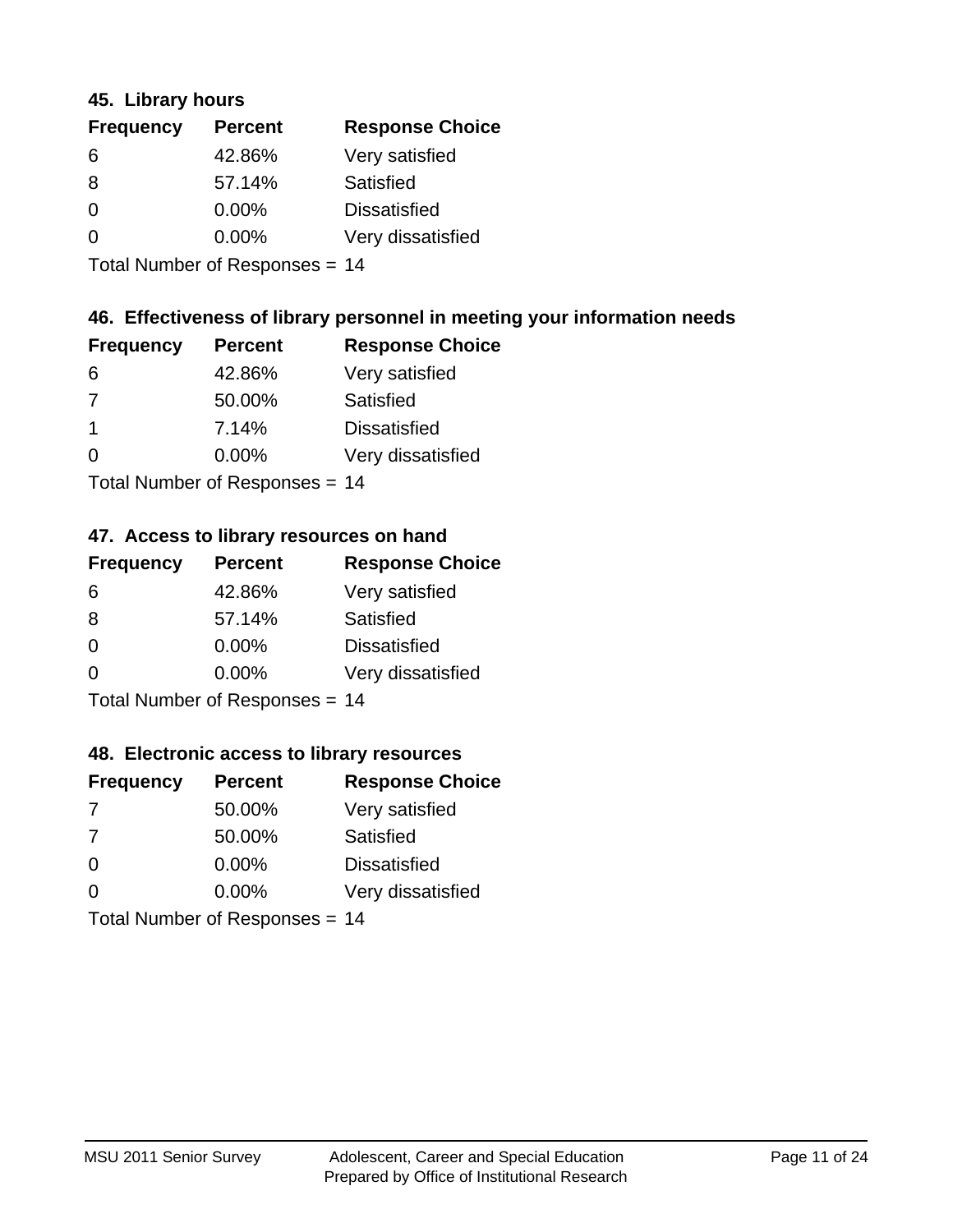### **45. Library hours**

| <b>Frequency</b> | <b>Percent</b> | <b>Response Choice</b> |
|------------------|----------------|------------------------|
| 6                | 42.86%         | Very satisfied         |
| 8                | 57.14%         | Satisfied              |
| 0                | $0.00\%$       | <b>Dissatisfied</b>    |
| $\Omega$         | 0.00%          | Very dissatisfied      |
|                  |                |                        |

Total Number of Responses = 14

## **46. Effectiveness of library personnel in meeting your information needs**

| <b>Frequency</b> | <b>Percent</b> | <b>Response Choice</b> |
|------------------|----------------|------------------------|
| 6                | 42.86%         | Very satisfied         |
| 7                | 50.00%         | Satisfied              |
| -1               | 7.14%          | <b>Dissatisfied</b>    |
| $\Omega$         | 0.00%          | Very dissatisfied      |
|                  |                |                        |

Total Number of Responses = 14

### **47. Access to library resources on hand**

| <b>Frequency</b> | <b>Percent</b>               | <b>Response Choice</b> |
|------------------|------------------------------|------------------------|
| 6                | 42.86%                       | Very satisfied         |
| 8                | 57.14%                       | Satisfied              |
| $\Omega$         | $0.00\%$                     | <b>Dissatisfied</b>    |
| $\Omega$         | 0.00%                        | Very dissatisfied      |
|                  | Total Number of Deepensee 44 |                        |

Total Number of Responses = 14

### **48. Electronic access to library resources**

| <b>Frequency</b> | <b>Percent</b>                 | <b>Response Choice</b> |
|------------------|--------------------------------|------------------------|
| 7                | 50.00%                         | Very satisfied         |
| 7                | 50.00%                         | Satisfied              |
| $\Omega$         | $0.00\%$                       | <b>Dissatisfied</b>    |
| $\Omega$         | 0.00%                          | Very dissatisfied      |
|                  | Total Number of Responses = 14 |                        |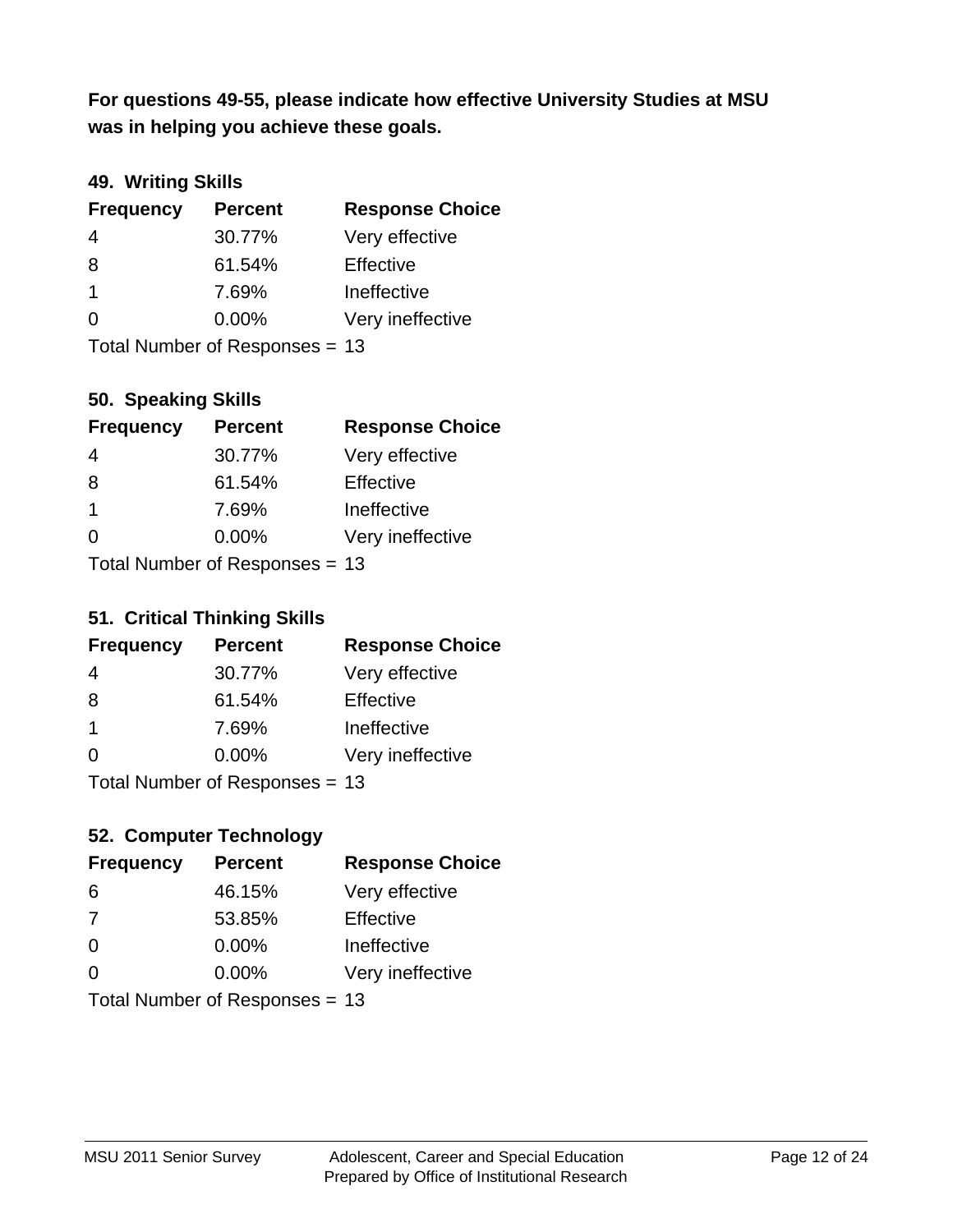**was in helping you achieve these goals. For questions 49-55, please indicate how effective University Studies at MSU** 

### **49. Writing Skills**

| <b>Frequency</b> | <b>Percent</b>                 | <b>Response Choice</b> |
|------------------|--------------------------------|------------------------|
| 4                | 30.77%                         | Very effective         |
| 8                | 61.54%                         | Effective              |
| $\mathbf 1$      | 7.69%                          | Ineffective            |
| $\Omega$         | $0.00\%$                       | Very ineffective       |
|                  | Total Number of Responses = 13 |                        |

**50. Speaking Skills**

| <b>Frequency</b> | <b>Percent</b>                 | <b>Response Choice</b> |
|------------------|--------------------------------|------------------------|
| 4                | 30.77%                         | Very effective         |
| 8                | 61.54%                         | Effective              |
| $\mathbf 1$      | 7.69%                          | Ineffective            |
| $\Omega$         | 0.00%                          | Very ineffective       |
|                  | Total Number of Poenonces - 13 |                        |

Total Number of Responses = 13

### **51. Critical Thinking Skills**

| <b>Frequency</b> | <b>Percent</b>                  | <b>Response Choice</b> |
|------------------|---------------------------------|------------------------|
| 4                | 30.77%                          | Very effective         |
| 8                | 61.54%                          | Effective              |
| $\mathbf 1$      | 7.69%                           | Ineffective            |
| $\Omega$         | 0.00%                           | Very ineffective       |
|                  | $Total$ Number of Despanses $-$ |                        |

Total Number of Responses = 13

## **52. Computer Technology**

| <b>Frequency</b> | <b>Percent</b>                 | <b>Response Choice</b> |
|------------------|--------------------------------|------------------------|
| 6                | 46.15%                         | Very effective         |
| 7                | 53.85%                         | Effective              |
| $\Omega$         | $0.00\%$                       | Ineffective            |
| $\Omega$         | 0.00%                          | Very ineffective       |
|                  | Total Number of Responses = 13 |                        |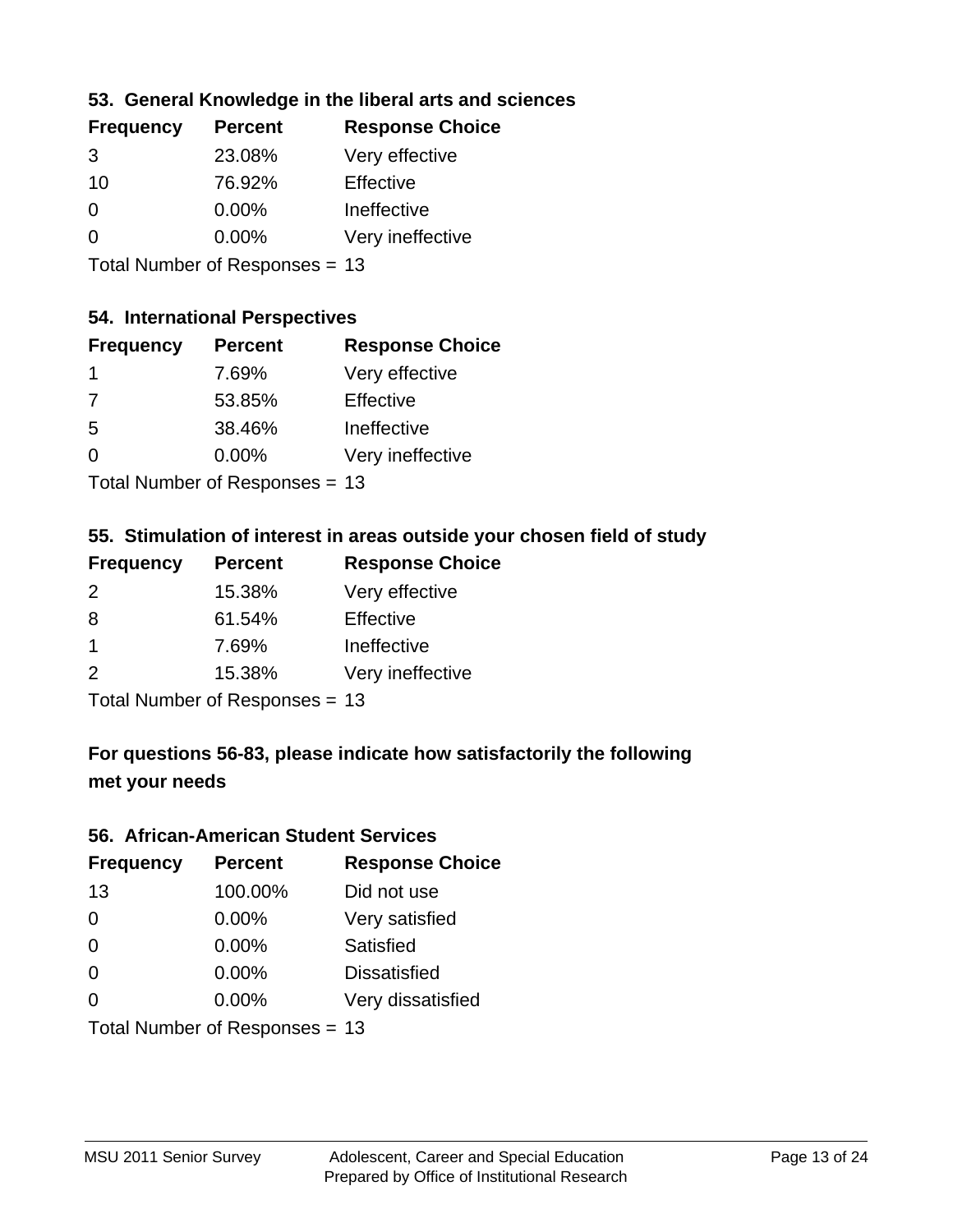### **53. General Knowledge in the liberal arts and sciences**

| <b>Frequency</b> | <b>Percent</b> | <b>Response Choice</b> |
|------------------|----------------|------------------------|
| 3                | 23.08%         | Very effective         |
| 10               | 76.92%         | Effective              |
| $\Omega$         | 0.00%          | Ineffective            |
| $\Omega$         | 0.00%          | Very ineffective       |
|                  |                |                        |

Total Number of Responses = 13

#### **54. International Perspectives**

| <b>Frequency</b> | <b>Percent</b> | <b>Response Choice</b> |
|------------------|----------------|------------------------|
| $\mathbf 1$      | 7.69%          | Very effective         |
| 7                | 53.85%         | Effective              |
| -5               | 38.46%         | Ineffective            |
| 0                | 0.00%          | Very ineffective       |
|                  |                |                        |

Total Number of Responses = 13

### **55. Stimulation of interest in areas outside your chosen field of study**

| <b>Frequency</b> | <b>Percent</b>            | <b>Response Choice</b> |
|------------------|---------------------------|------------------------|
| 2                | 15.38%                    | Very effective         |
| 8                | 61.54%                    | Effective              |
| $\overline{1}$   | 7.69%                     | Ineffective            |
| $\mathcal{P}$    | 15.38%                    | Very ineffective       |
|                  | Total Number of Desponses |                        |

Total Number of Responses = 13

## **For questions 56-83, please indicate how satisfactorily the following met your needs**

#### **56. African-American Student Services**

| <b>Frequency</b> | <b>Percent</b>                 | <b>Response Choice</b> |
|------------------|--------------------------------|------------------------|
| 13               | 100.00%                        | Did not use            |
| $\Omega$         | 0.00%                          | Very satisfied         |
| $\Omega$         | 0.00%                          | Satisfied              |
| $\Omega$         | $0.00\%$                       | <b>Dissatisfied</b>    |
| $\Omega$         | 0.00%                          | Very dissatisfied      |
|                  | Total Number of Responses = 13 |                        |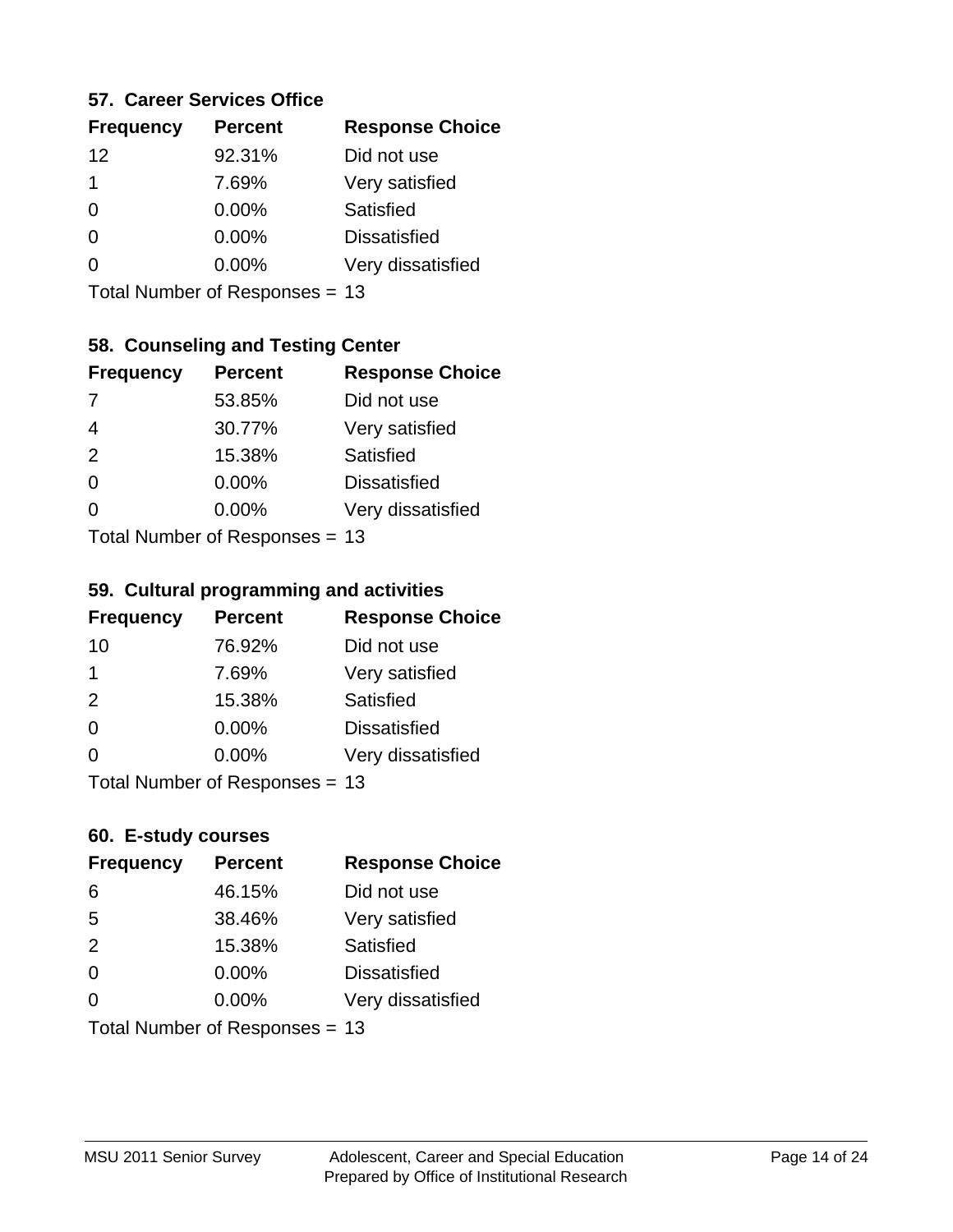### **57. Career Services Office**

| <b>Frequency</b> | <b>Percent</b> | <b>Response Choice</b> |
|------------------|----------------|------------------------|
| 12               | 92.31%         | Did not use            |
| 1                | 7.69%          | Very satisfied         |
| 0                | $0.00\%$       | Satisfied              |
| 0                | $0.00\%$       | <b>Dissatisfied</b>    |
|                  | $0.00\%$       | Very dissatisfied      |
|                  |                |                        |

Total Number of Responses = 13

## **58. Counseling and Testing Center**

| <b>Frequency</b> | <b>Percent</b>            | <b>Response Choice</b> |
|------------------|---------------------------|------------------------|
| $\overline{7}$   | 53.85%                    | Did not use            |
| 4                | 30.77%                    | Very satisfied         |
| 2                | 15.38%                    | <b>Satisfied</b>       |
| $\Omega$         | 0.00%                     | <b>Dissatisfied</b>    |
| ∩                | 0.00%                     | Very dissatisfied      |
|                  | Total Number of Desponses |                        |

Total Number of Responses = 13

#### **59. Cultural programming and activities**

| <b>Frequency</b> | <b>Percent</b>                | <b>Response Choice</b> |
|------------------|-------------------------------|------------------------|
| 10               | 76.92%                        | Did not use            |
| 1                | 7.69%                         | Very satisfied         |
| 2                | 15.38%                        | Satisfied              |
| $\Omega$         | $0.00\%$                      | <b>Dissatisfied</b>    |
| $\Omega$         | $0.00\%$                      | Very dissatisfied      |
|                  | $Total Number of Doepopoog -$ |                        |

Total Number of Responses = 13

### **60. E-study courses**

| <b>Frequency</b> | <b>Percent</b>                 | <b>Response Choice</b> |
|------------------|--------------------------------|------------------------|
| 6                | 46.15%                         | Did not use            |
| 5                | 38.46%                         | Very satisfied         |
| 2                | 15.38%                         | Satisfied              |
| $\Omega$         | $0.00\%$                       | <b>Dissatisfied</b>    |
| $\Omega$         | 0.00%                          | Very dissatisfied      |
|                  | Total Number of Responses = 13 |                        |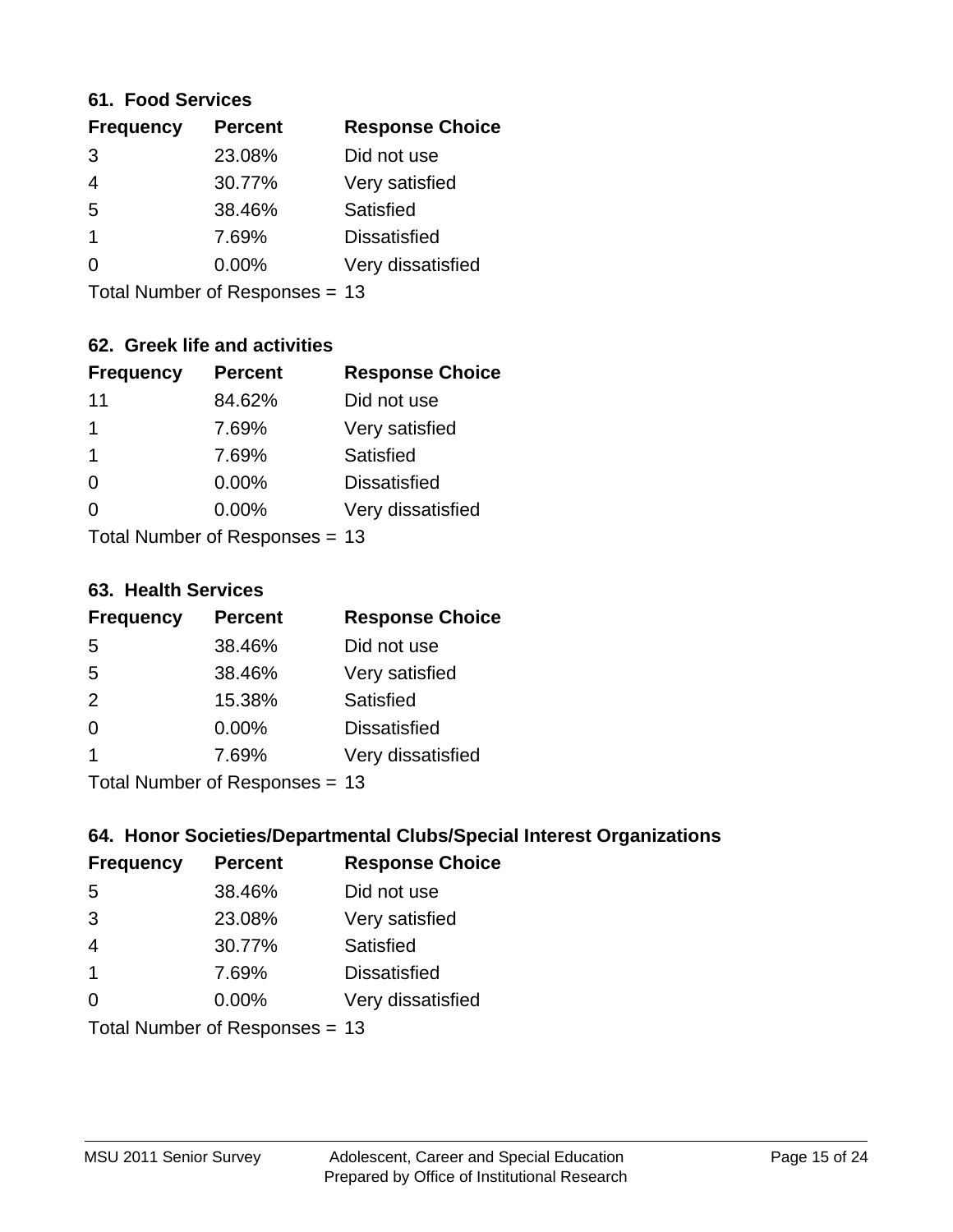#### **61. Food Services**

| <b>Response Choice</b> |
|------------------------|
| Did not use            |
| Very satisfied         |
|                        |
| <b>Dissatisfied</b>    |
| Very dissatisfied      |
|                        |

Total Number of Responses = 13

## **62. Greek life and activities**

| <b>Frequency</b>               | <b>Percent</b> | <b>Response Choice</b> |
|--------------------------------|----------------|------------------------|
| 11                             | 84.62%         | Did not use            |
| 1                              | 7.69%          | Very satisfied         |
| 1                              | 7.69%          | Satisfied              |
| $\Omega$                       | 0.00%          | <b>Dissatisfied</b>    |
|                                | 0.00%          | Very dissatisfied      |
| Total Number of Responses = 13 |                |                        |

#### **63. Health Services**

| <b>Frequency</b> | <b>Percent</b>            | <b>Response Choice</b> |
|------------------|---------------------------|------------------------|
| 5                | 38.46%                    | Did not use            |
| 5                | 38.46%                    | Very satisfied         |
| 2                | 15.38%                    | Satisfied              |
| $\Omega$         | $0.00\%$                  | <b>Dissatisfied</b>    |
|                  | 7.69%                     | Very dissatisfied      |
|                  | Total Number of Desponses |                        |

Total Number of Responses = 13

### **64. Honor Societies/Departmental Clubs/Special Interest Organizations**

| <b>Frequency</b> | <b>Percent</b>                 | <b>Response Choice</b> |
|------------------|--------------------------------|------------------------|
| 5                | 38.46%                         | Did not use            |
| 3                | 23.08%                         | Very satisfied         |
| $\overline{4}$   | 30.77%                         | Satisfied              |
| $\overline{1}$   | 7.69%                          | <b>Dissatisfied</b>    |
| $\Omega$         | 0.00%                          | Very dissatisfied      |
|                  | Total Number of Responses = 13 |                        |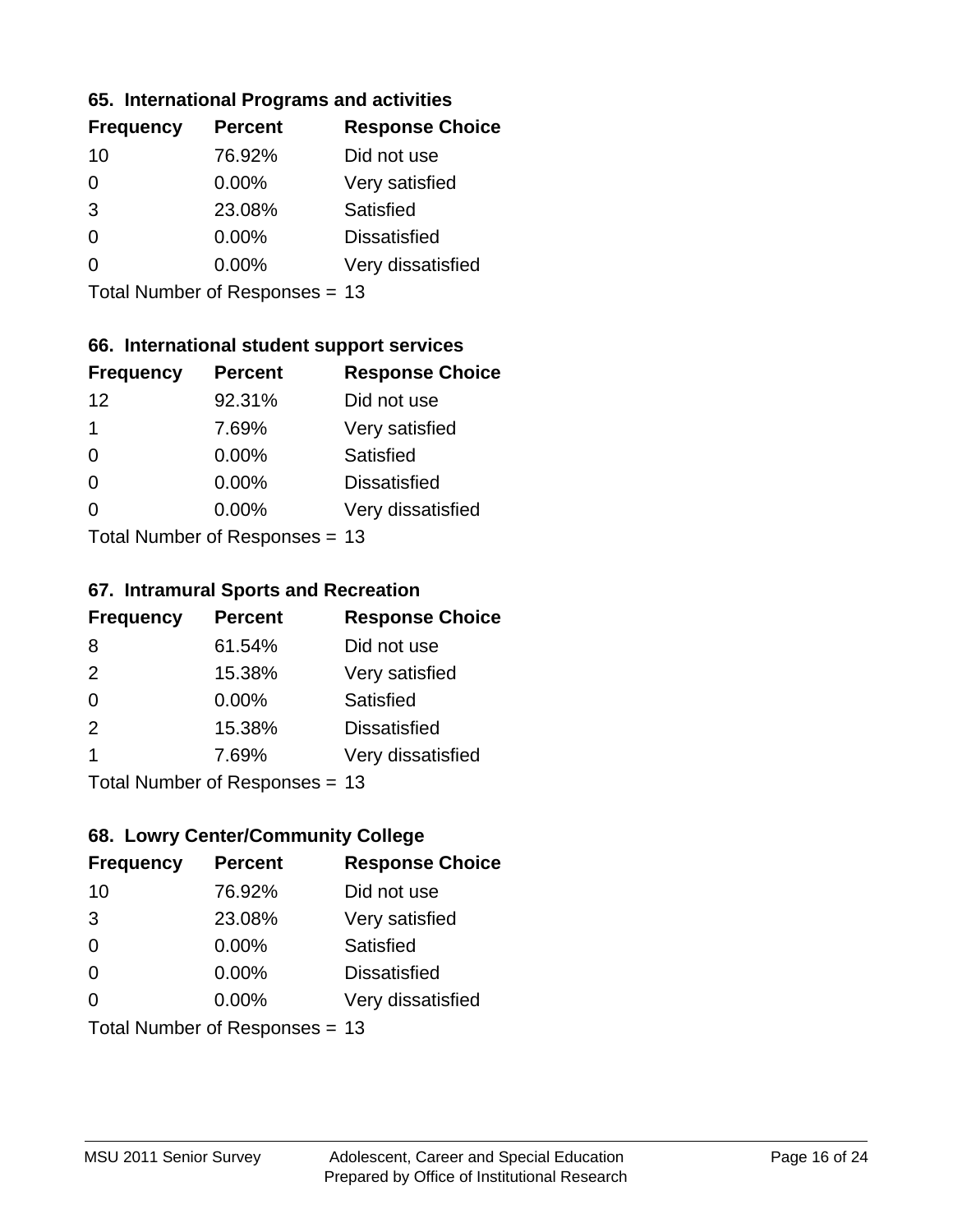### **65. International Programs and activities**

| <b>Frequency</b> | <b>Percent</b> | <b>Response Choice</b> |
|------------------|----------------|------------------------|
| 10               | 76.92%         | Did not use            |
| 0                | 0.00%          | Very satisfied         |
| 3                | 23.08%         | Satisfied              |
| O                | $0.00\%$       | <b>Dissatisfied</b>    |
|                  | $0.00\%$       | Very dissatisfied      |
|                  |                |                        |

Total Number of Responses = 13

### **66. International student support services**

| <b>Frequency</b> | <b>Percent</b>              | <b>Response Choice</b> |
|------------------|-----------------------------|------------------------|
| 12               | 92.31%                      | Did not use            |
| 1                | 7.69%                       | Very satisfied         |
| $\Omega$         | $0.00\%$                    | <b>Satisfied</b>       |
| $\Omega$         | 0.00%                       | <b>Dissatisfied</b>    |
| 0                | 0.00%                       | Very dissatisfied      |
|                  | Total Number of Despanses - |                        |

Total Number of Responses = 13

#### **67. Intramural Sports and Recreation**

| <b>Frequency</b> | <b>Percent</b>               | <b>Response Choice</b> |
|------------------|------------------------------|------------------------|
| 8                | 61.54%                       | Did not use            |
| 2                | 15.38%                       | Very satisfied         |
| $\Omega$         | $0.00\%$                     | Satisfied              |
| 2                | 15.38%                       | <b>Dissatisfied</b>    |
| -1               | 7.69%                        | Very dissatisfied      |
|                  | $Total Number of Denonce 42$ |                        |

Total Number of Responses = 13

## **68. Lowry Center/Community College**

| <b>Frequency</b> | <b>Percent</b>                 | <b>Response Choice</b> |
|------------------|--------------------------------|------------------------|
| 10               | 76.92%                         | Did not use            |
| 3                | 23.08%                         | Very satisfied         |
| $\Omega$         | 0.00%                          | Satisfied              |
| $\Omega$         | 0.00%                          | <b>Dissatisfied</b>    |
| $\Omega$         | 0.00%                          | Very dissatisfied      |
|                  | Total Number of Responses = 13 |                        |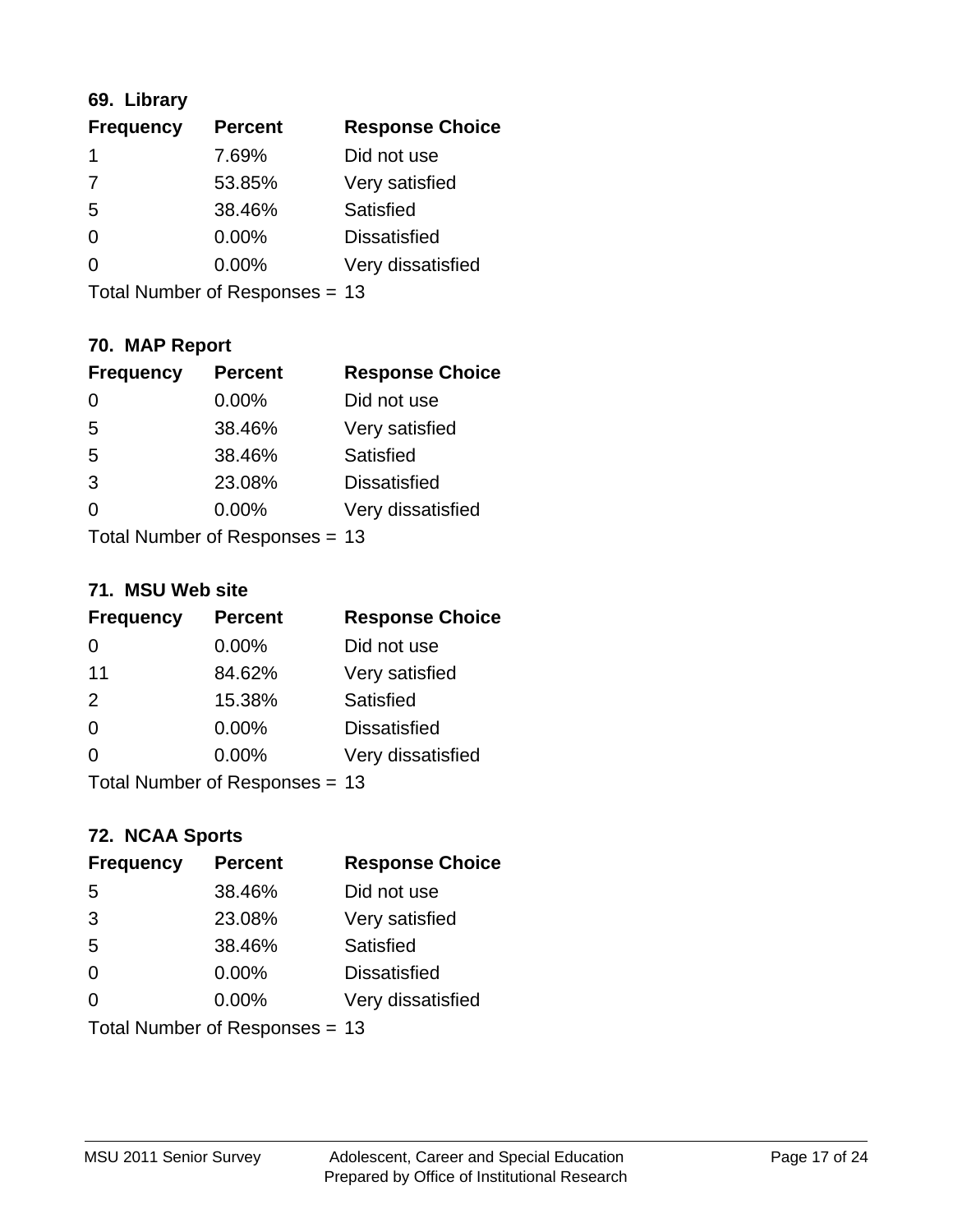## **69. Library**

| <b>Frequency</b> | <b>Percent</b> | <b>Response Choice</b> |
|------------------|----------------|------------------------|
| 1                | 7.69%          | Did not use            |
| 7                | 53.85%         | Very satisfied         |
| 5                | 38.46%         | Satisfied              |
| $\Omega$         | $0.00\%$       | <b>Dissatisfied</b>    |
| 0                | $0.00\%$       | Very dissatisfied      |
|                  |                |                        |

Total Number of Responses = 13

## **70. MAP Report**

| <b>Frequency</b> | <b>Percent</b>                 | <b>Response Choice</b> |
|------------------|--------------------------------|------------------------|
| 0                | 0.00%                          | Did not use            |
| 5                | 38.46%                         | Very satisfied         |
| 5                | 38.46%                         | Satisfied              |
| 3                | 23.08%                         | <b>Dissatisfied</b>    |
| 0                | $0.00\%$                       | Very dissatisfied      |
|                  | Total Number of Responses = 13 |                        |

#### **71. MSU Web site**

| <b>Frequency</b> | <b>Percent</b>                 | <b>Response Choice</b> |
|------------------|--------------------------------|------------------------|
| 0                | $0.00\%$                       | Did not use            |
| 11               | 84.62%                         | Very satisfied         |
| 2                | 15.38%                         | Satisfied              |
| $\Omega$         | 0.00%                          | <b>Dissatisfied</b>    |
| $\Omega$         | 0.00%                          | Very dissatisfied      |
|                  | Total Number of Responses = 13 |                        |

## **72. NCAA Sports**

| <b>Frequency</b> | <b>Percent</b>                 | <b>Response Choice</b> |
|------------------|--------------------------------|------------------------|
| 5                | 38.46%                         | Did not use            |
| 3                | 23.08%                         | Very satisfied         |
| 5                | 38.46%                         | Satisfied              |
| $\Omega$         | 0.00%                          | <b>Dissatisfied</b>    |
| $\Omega$         | $0.00\%$                       | Very dissatisfied      |
|                  | Total Number of Responses = 13 |                        |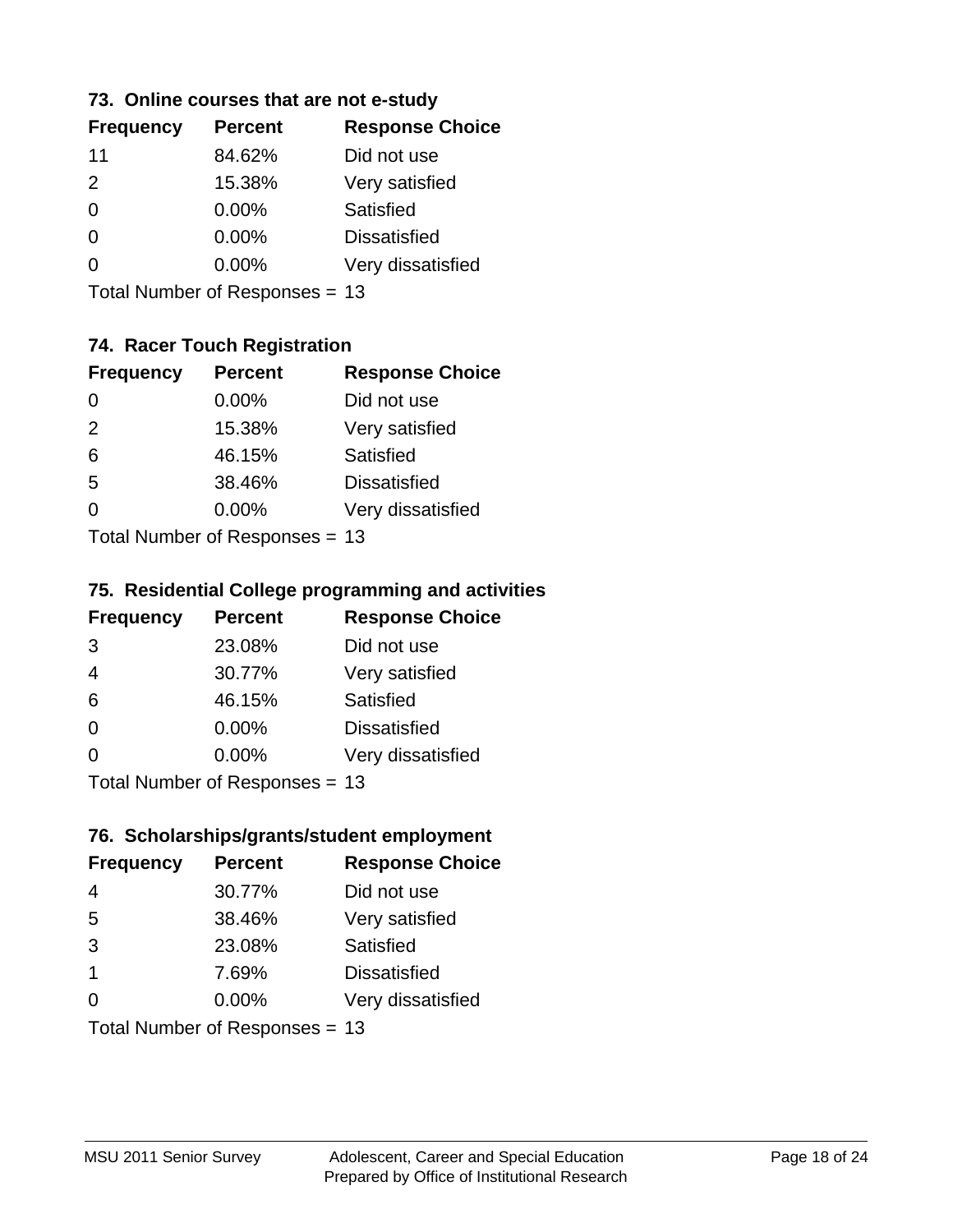### **73. Online courses that are not e-study**

| <b>Frequency</b> | <b>Percent</b> | <b>Response Choice</b> |
|------------------|----------------|------------------------|
| 11               | 84.62%         | Did not use            |
| $\mathcal{P}$    | 15.38%         | Very satisfied         |
| 0                | $0.00\%$       | Satisfied              |
| 0                | $0.00\%$       | <b>Dissatisfied</b>    |
|                  | $0.00\%$       | Very dissatisfied      |
|                  |                |                        |

Total Number of Responses = 13

## **74. Racer Touch Registration**

| <b>Frequency</b>            | <b>Percent</b> | <b>Response Choice</b> |
|-----------------------------|----------------|------------------------|
| $\Omega$                    | 0.00%          | Did not use            |
| 2                           | 15.38%         | Very satisfied         |
| 6                           | 46.15%         | <b>Satisfied</b>       |
| 5                           | 38.46%         | <b>Dissatisfied</b>    |
| 0                           | $0.00\%$       | Very dissatisfied      |
| Total Number of Despenses - |                |                        |

Total Number of Responses = 13

### **75. Residential College programming and activities**

| <b>Frequency</b>             | <b>Percent</b> | <b>Response Choice</b> |
|------------------------------|----------------|------------------------|
| 3                            | 23.08%         | Did not use            |
| $\overline{4}$               | 30.77%         | Very satisfied         |
| 6                            | 46.15%         | Satisfied              |
| $\Omega$                     | 0.00%          | <b>Dissatisfied</b>    |
| $\Omega$                     | 0.00%          | Very dissatisfied      |
| $Total Number of Denonce 42$ |                |                        |

Total Number of Responses = 13

### **76. Scholarships/grants/student employment**

| <b>Frequency</b>               | <b>Percent</b> | <b>Response Choice</b> |
|--------------------------------|----------------|------------------------|
| $\overline{4}$                 | 30.77%         | Did not use            |
| 5                              | 38.46%         | Very satisfied         |
| 3                              | 23.08%         | Satisfied              |
| $\mathbf 1$                    | 7.69%          | <b>Dissatisfied</b>    |
| 0                              | 0.00%          | Very dissatisfied      |
| Total Number of Responses = 13 |                |                        |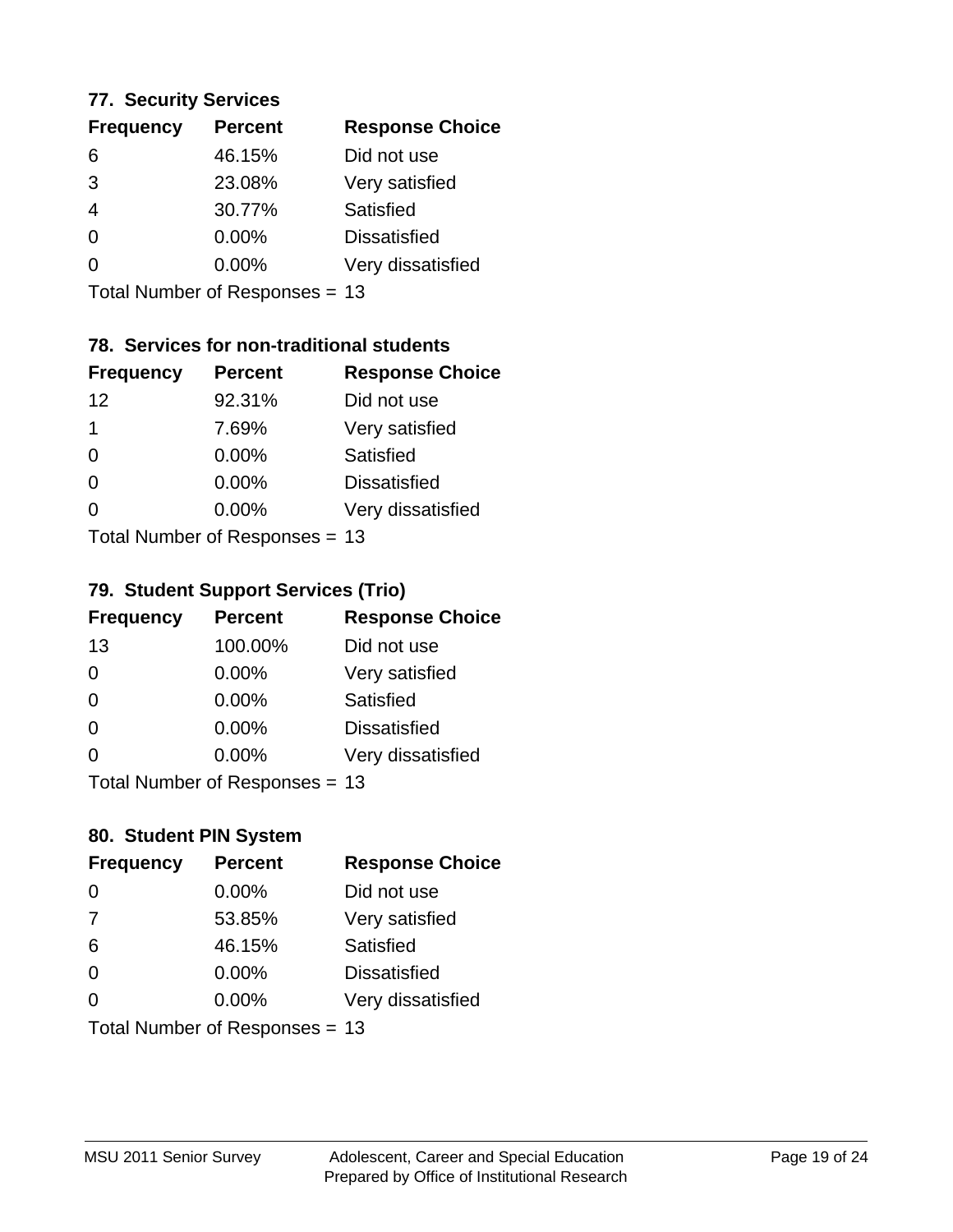### **77. Security Services**

| <b>Frequency</b> | <b>Percent</b> | <b>Response Choice</b> |
|------------------|----------------|------------------------|
| 6                | 46.15%         | Did not use            |
| 3                | 23.08%         | Very satisfied         |
| 4                | 30.77%         | Satisfied              |
| 0                | 0.00%          | <b>Dissatisfied</b>    |
| ∩                | $0.00\%$       | Very dissatisfied      |
|                  |                |                        |

Total Number of Responses = 13

## **78. Services for non-traditional students**

| <b>Frequency</b>            | <b>Percent</b> | <b>Response Choice</b> |
|-----------------------------|----------------|------------------------|
| 12                          | 92.31%         | Did not use            |
| 1                           | 7.69%          | Very satisfied         |
| $\Omega$                    | $0.00\%$       | <b>Satisfied</b>       |
| $\Omega$                    | 0.00%          | <b>Dissatisfied</b>    |
| 0                           | 0.00%          | Very dissatisfied      |
| Total Number of Despanses - |                |                        |

Total Number of Responses = 13

### **79. Student Support Services (Trio)**

| <b>Frequency</b> | <b>Percent</b>               | <b>Response Choice</b> |
|------------------|------------------------------|------------------------|
| 13               | 100.00%                      | Did not use            |
| $\Omega$         | $0.00\%$                     | Very satisfied         |
| $\Omega$         | $0.00\%$                     | Satisfied              |
| $\Omega$         | 0.00%                        | <b>Dissatisfied</b>    |
| $\Omega$         | 0.00%                        | Very dissatisfied      |
|                  | $Total Number of Denonce 42$ |                        |

I otal Number of Responses = 13

### **80. Student PIN System**

| <b>Frequency</b>               | <b>Percent</b> | <b>Response Choice</b> |
|--------------------------------|----------------|------------------------|
| 0                              | 0.00%          | Did not use            |
| 7                              | 53.85%         | Very satisfied         |
| 6                              | 46.15%         | Satisfied              |
| $\Omega$                       | $0.00\%$       | <b>Dissatisfied</b>    |
| $\Omega$                       | $0.00\%$       | Very dissatisfied      |
| Total Number of Responses = 13 |                |                        |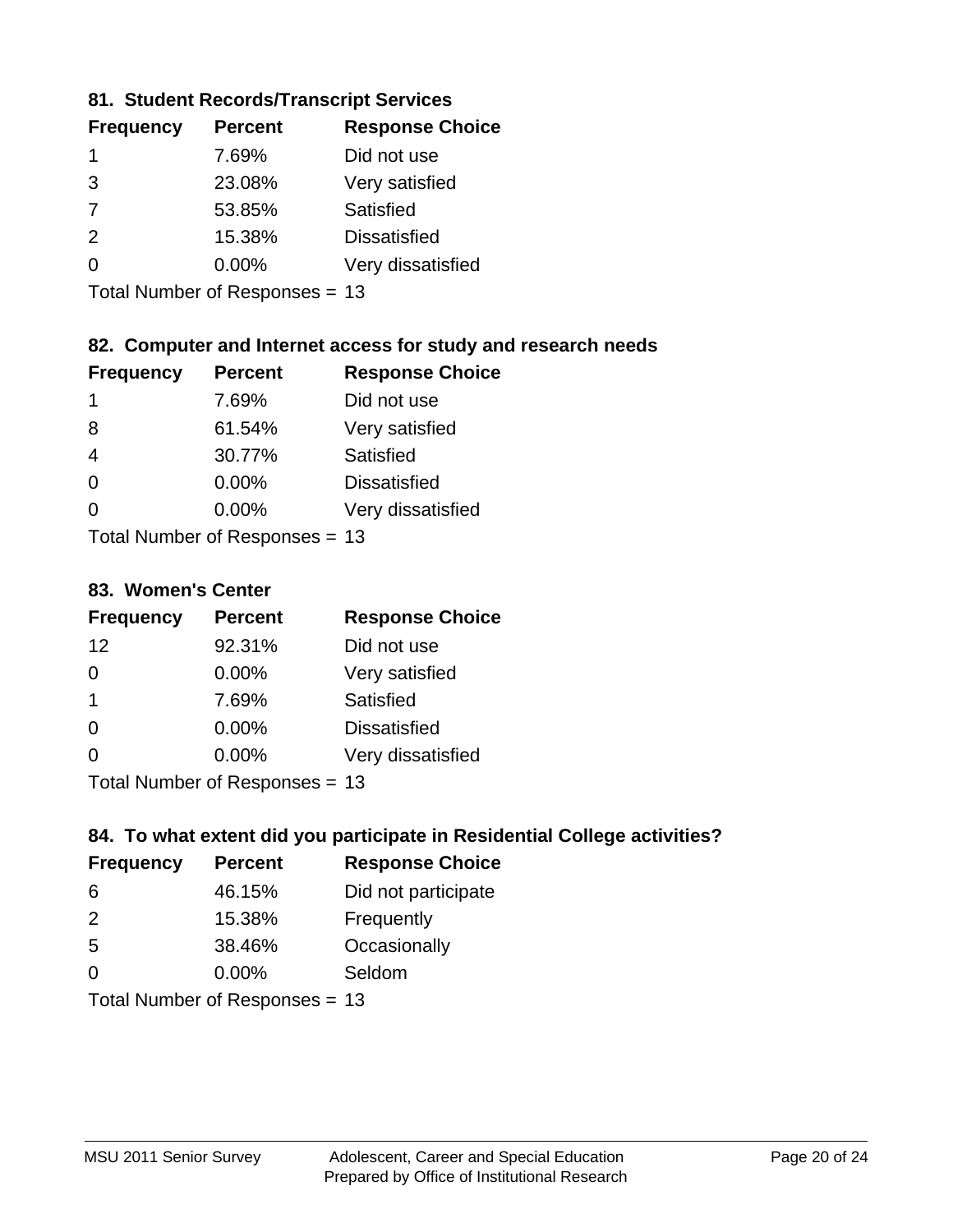### **81. Student Records/Transcript Services**

| <b>Percent</b> | <b>Response Choice</b> |
|----------------|------------------------|
| 7.69%          | Did not use            |
| 23.08%         | Very satisfied         |
| 53.85%         | Satisfied              |
| 15.38%         | <b>Dissatisfied</b>    |
| $0.00\%$       | Very dissatisfied      |
|                |                        |

Total Number of Responses = 13

## **82. Computer and Internet access for study and research needs**

| <b>Frequency</b>          | <b>Percent</b> | <b>Response Choice</b> |
|---------------------------|----------------|------------------------|
| 1                         | 7.69%          | Did not use            |
| 8                         | 61.54%         | Very satisfied         |
| 4                         | 30.77%         | Satisfied              |
| $\Omega$                  | 0.00%          | <b>Dissatisfied</b>    |
| ∩                         | 0.00%          | Very dissatisfied      |
| Total Number of Deepensee |                |                        |

Total Number of Responses = 13

#### **83. Women's Center**

| <b>Frequency</b>          | <b>Percent</b> | <b>Response Choice</b> |
|---------------------------|----------------|------------------------|
| 12                        | 92.31%         | Did not use            |
| $\Omega$                  | $0.00\%$       | Very satisfied         |
| -1                        | 7.69%          | Satisfied              |
| $\Omega$                  | $0.00\%$       | <b>Dissatisfied</b>    |
| $\Omega$                  | 0.00%          | Very dissatisfied      |
| Total Number of Desponses |                |                        |

Total Number of Responses = 13

### **84. To what extent did you participate in Residential College activities?**

| <b>Frequency</b> | <b>Percent</b>             | <b>Response Choice</b> |
|------------------|----------------------------|------------------------|
| 6                | 46.15%                     | Did not participate    |
| $\mathcal{P}$    | 15.38%                     | Frequently             |
| 5                | 38.46%                     | Occasionally           |
| $\Omega$         | 0.00%                      | Seldom                 |
|                  | Total Number of Denonone – |                        |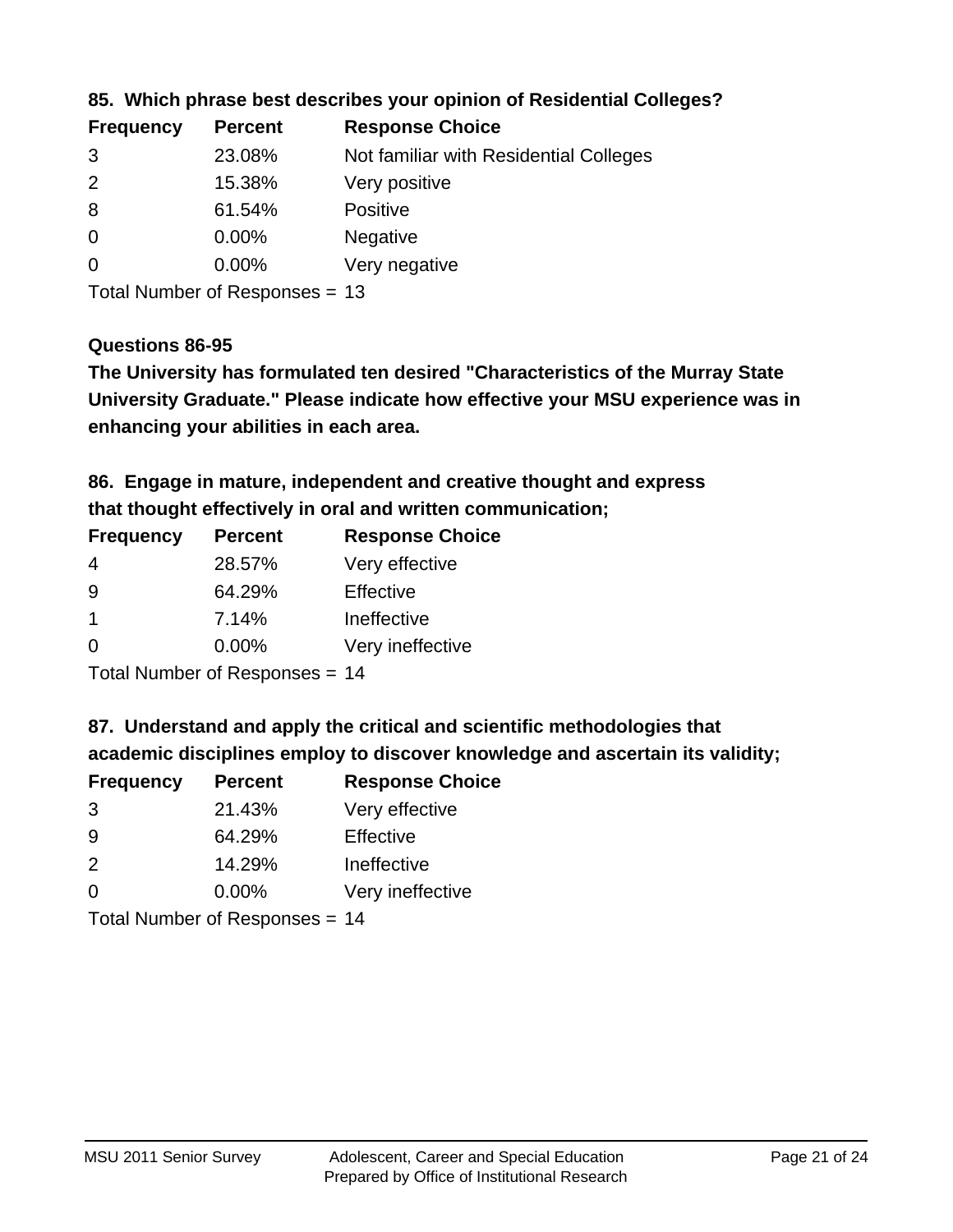| <b>Frequency</b> | <b>Percent</b> | <b>Response Choice</b>                 |
|------------------|----------------|----------------------------------------|
| 3                | 23.08%         | Not familiar with Residential Colleges |
| $\overline{2}$   | 15.38%         | Very positive                          |
| 8                | 61.54%         | <b>Positive</b>                        |
| $\overline{0}$   | 0.00%          | <b>Negative</b>                        |
| $\overline{0}$   | $0.00\%$       | Very negative                          |
|                  |                |                                        |

**85. Which phrase best describes your opinion of Residential Colleges?**

Total Number of Responses = 13

### **Questions 86-95**

**University Graduate." Please indicate how effective your MSU experience was in The University has formulated ten desired "Characteristics of the Murray State enhancing your abilities in each area.**

**86. Engage in mature, independent and creative thought and express that thought effectively in oral and written communication;**

| <b>Frequency</b> | <b>Percent</b> | <b>Response Choice</b> |
|------------------|----------------|------------------------|
| 4                | 28.57%         | Very effective         |
| 9                | 64.29%         | Effective              |
|                  | 7.14%          | Ineffective            |
| $\Omega$         | $0.00\%$       | Very ineffective       |

Total Number of Responses = 14

**87. Understand and apply the critical and scientific methodologies that** 

**academic disciplines employ to discover knowledge and ascertain its validity;**

| <b>Frequency</b> | <b>Percent</b> | <b>Response Choice</b> |
|------------------|----------------|------------------------|
| 3                | 21.43%         | Very effective         |
| 9                | 64.29%         | Effective              |
| $\mathcal{P}$    | 14.29%         | Ineffective            |
| $\Omega$         | 0.00%          | Very ineffective       |
|                  |                |                        |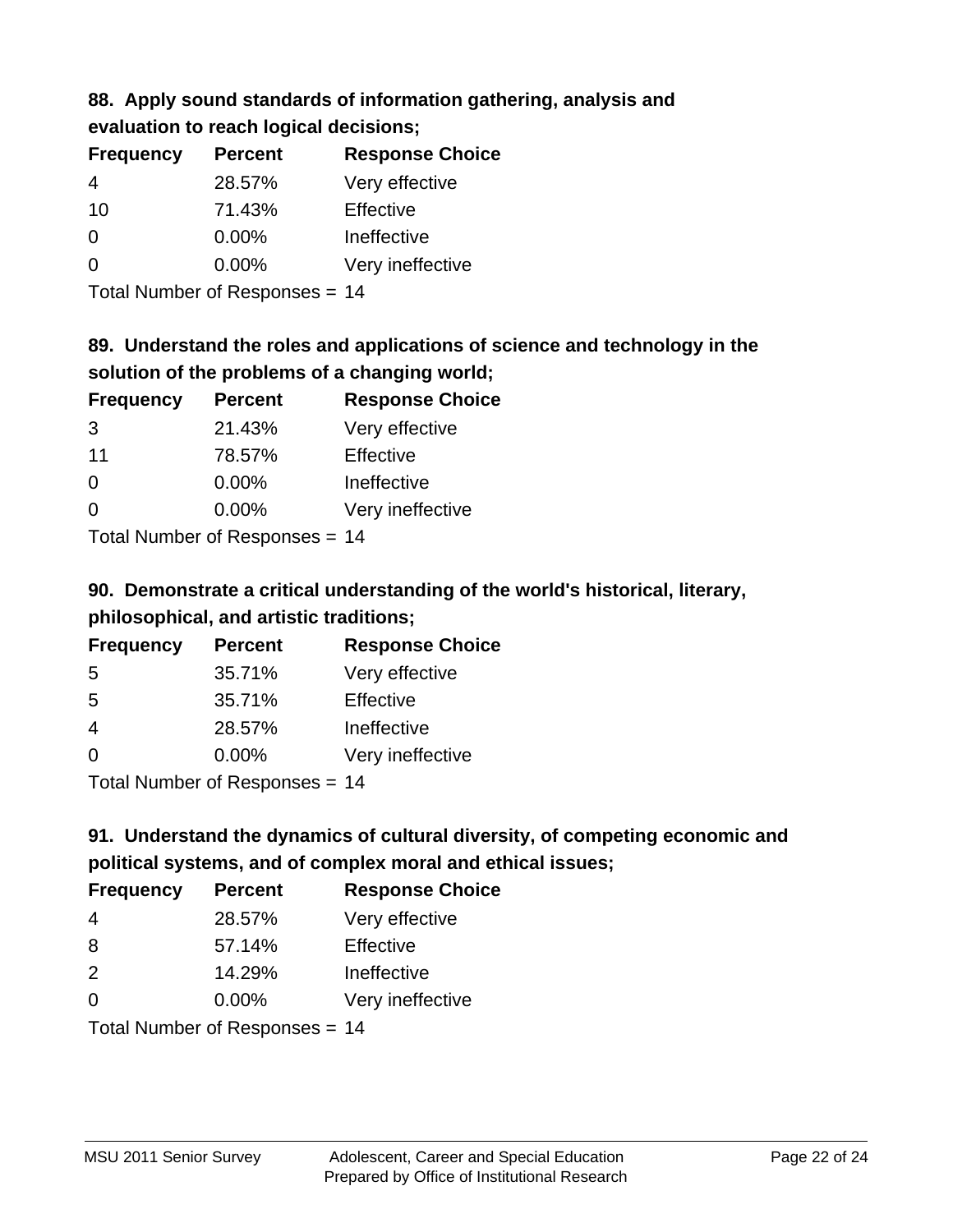## **88. Apply sound standards of information gathering, analysis and evaluation to reach logical decisions;**

| <b>Frequency</b> | <b>Percent</b> | <b>Response Choice</b> |
|------------------|----------------|------------------------|
| 4                | 28.57%         | Very effective         |
| 10               | 71.43%         | Effective              |
| O                | $0.00\%$       | Ineffective            |
| O                | $0.00\%$       | Very ineffective       |
|                  |                |                        |

Total Number of Responses = 14

# **89. Understand the roles and applications of science and technology in the solution of the problems of a changing world;**

| <b>Frequency</b> | <b>Percent</b> | <b>Response Choice</b> |
|------------------|----------------|------------------------|
| 3                | 21.43%         | Very effective         |
| 11               | 78.57%         | Effective              |
| $\Omega$         | 0.00%          | Ineffective            |
| $\Omega$         | 0.00%          | Very ineffective       |
|                  |                |                        |

Total Number of Responses = 14

# **90. Demonstrate a critical understanding of the world's historical, literary, philosophical, and artistic traditions;**

| <b>Frequency</b> | <b>Percent</b> | <b>Response Choice</b> |
|------------------|----------------|------------------------|
| 5                | 35.71%         | Very effective         |
| 5                | 35.71%         | Effective              |
| 4                | 28.57%         | Ineffective            |
| ∩                | 0.00%          | Very ineffective       |
|                  |                |                        |

Total Number of Responses = 14

# **91. Understand the dynamics of cultural diversity, of competing economic and political systems, and of complex moral and ethical issues;**

| <b>Frequency</b> | <b>Percent</b>                 | <b>Response Choice</b> |
|------------------|--------------------------------|------------------------|
| 4                | 28.57%                         | Very effective         |
| 8                | 57.14%                         | Effective              |
| 2                | 14.29%                         | Ineffective            |
| $\Omega$         | $0.00\%$                       | Very ineffective       |
|                  | Total Number of Responses = 14 |                        |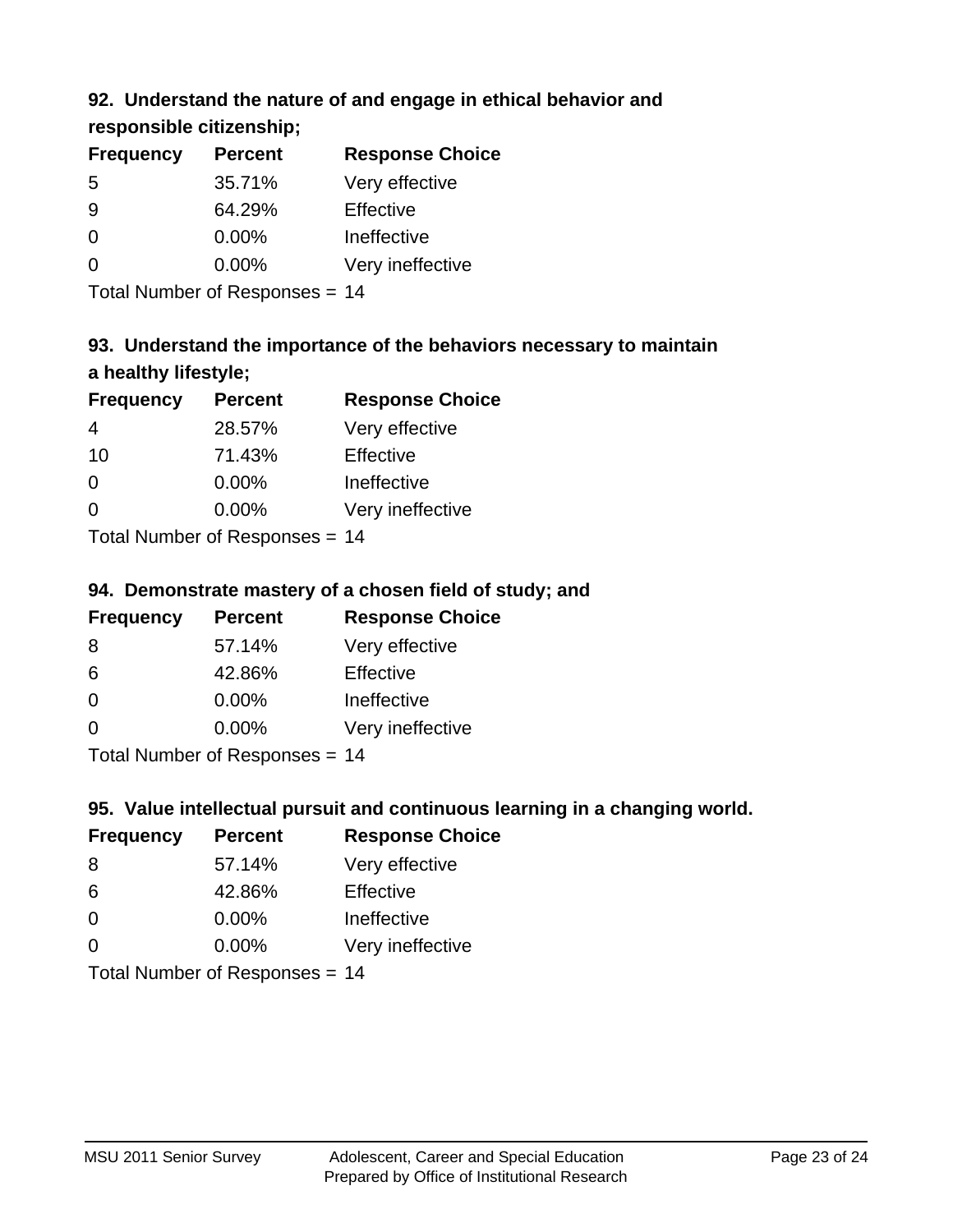## **92. Understand the nature of and engage in ethical behavior and**

**responsible citizenship;**

| <b>Percent</b> | <b>Response Choice</b> |
|----------------|------------------------|
| 35.71%         | Very effective         |
| 64.29%         | Effective              |
| $0.00\%$       | Ineffective            |
| $0.00\%$       | Very ineffective       |
|                |                        |

Total Number of Responses = 14

# **93. Understand the importance of the behaviors necessary to maintain a healthy lifestyle;**

| <b>Frequency</b>            | <b>Percent</b> | <b>Response Choice</b> |
|-----------------------------|----------------|------------------------|
| 4                           | 28.57%         | Very effective         |
| 10                          | 71.43%         | Effective              |
| $\Omega$                    | $0.00\%$       | Ineffective            |
| $\Omega$                    | 0.00%          | Very ineffective       |
| Tatal Massakan af Dagmanage |                |                        |

Total Number of Responses = 14

## **94. Demonstrate mastery of a chosen field of study; and**

| <b>Frequency</b> | <b>Percent</b> | <b>Response Choice</b> |
|------------------|----------------|------------------------|
| 8                | 57.14%         | Very effective         |
| 6                | 42.86%         | Effective              |
| $\Omega$         | 0.00%          | Ineffective            |
| $\Omega$         | 0.00%          | Very ineffective       |
|                  |                |                        |

Total Number of Responses = 14

## **95. Value intellectual pursuit and continuous learning in a changing world.**

| <b>Frequency</b> | <b>Percent</b>            | <b>Response Choice</b> |
|------------------|---------------------------|------------------------|
| -8               | 57.14%                    | Very effective         |
| 6                | 42.86%                    | Effective              |
| $\Omega$         | $0.00\%$                  | Ineffective            |
| $\Omega$         | 0.00%                     | Very ineffective       |
|                  | Total Number of Deepersee | 4 A                    |